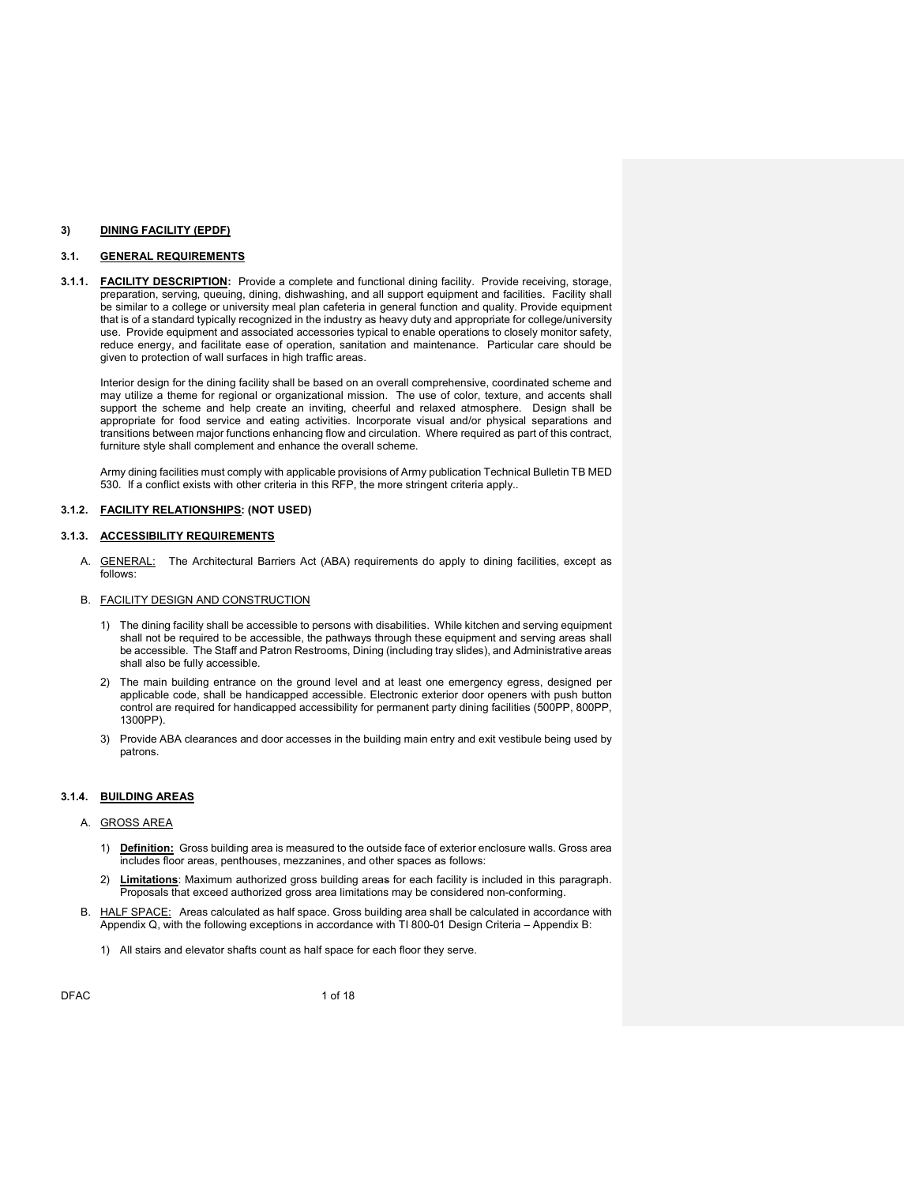### 3) DINING FACILITY (EPDF)

# 3.1. GENERAL REQUIREMENTS

3.1.1. **FACILITY DESCRIPTION:** Provide a complete and functional dining facility. Provide receiving, storage, preparation, serving, queuing, dining, dishwashing, and all support equipment and facilities. Facility shall be similar to a college or university meal plan cafeteria in general function and quality. Provide equipment that is of a standard typically recognized in the industry as heavy duty and appropriate for college/university use. Provide equipment and associated accessories typical to enable operations to closely monitor safety, reduce energy, and facilitate ease of operation, sanitation and maintenance. Particular care should be given to protection of wall surfaces in high traffic areas.

Interior design for the dining facility shall be based on an overall comprehensive, coordinated scheme and may utilize a theme for regional or organizational mission. The use of color, texture, and accents shall support the scheme and help create an inviting, cheerful and relaxed atmosphere. Design shall be appropriate for food service and eating activities. Incorporate visual and/or physical separations and transitions between major functions enhancing flow and circulation. Where required as part of this contract, furniture style shall complement and enhance the overall scheme.

Army dining facilities must comply with applicable provisions of Army publication Technical Bulletin TB MED 530. If a conflict exists with other criteria in this RFP, the more stringent criteria apply..

#### 3.1.2. FACILITY RELATIONSHIPS: (NOT USED)

#### 3.1.3. ACCESSIBILITY REQUIREMENTS

A. **GENERAL:** The Architectural Barriers Act (ABA) requirements do apply to dining facilities, except as follows:

#### B. FACILITY DESIGN AND CONSTRUCTION

- 1) The dining facility shall be accessible to persons with disabilities. While kitchen and serving equipment shall not be required to be accessible, the pathways through these equipment and serving areas shall be accessible. The Staff and Patron Restrooms, Dining (including tray slides), and Administrative areas shall also be fully accessible.
- 2) The main building entrance on the ground level and at least one emergency egress, designed per applicable code, shall be handicapped accessible. Electronic exterior door openers with push button control are required for handicapped accessibility for permanent party dining facilities (500PP, 800PP, 1300PP).
- 3) Provide ABA clearances and door accesses in the building main entry and exit vestibule being used by patrons.

### 3.1.4. BUILDING AREAS

#### A. GROSS AREA

- 1) Definition: Gross building area is measured to the outside face of exterior enclosure walls. Gross area includes floor areas, penthouses, mezzanines, and other spaces as follows:
- 2) Limitations: Maximum authorized gross building areas for each facility is included in this paragraph. Proposals that exceed authorized gross area limitations may be considered non-conforming.
- B. HALF SPACE: Areas calculated as half space. Gross building area shall be calculated in accordance with Appendix Q, with the following exceptions in accordance with TI 800-01 Design Criteria – Appendix B:
	- 1) All stairs and elevator shafts count as half space for each floor they serve.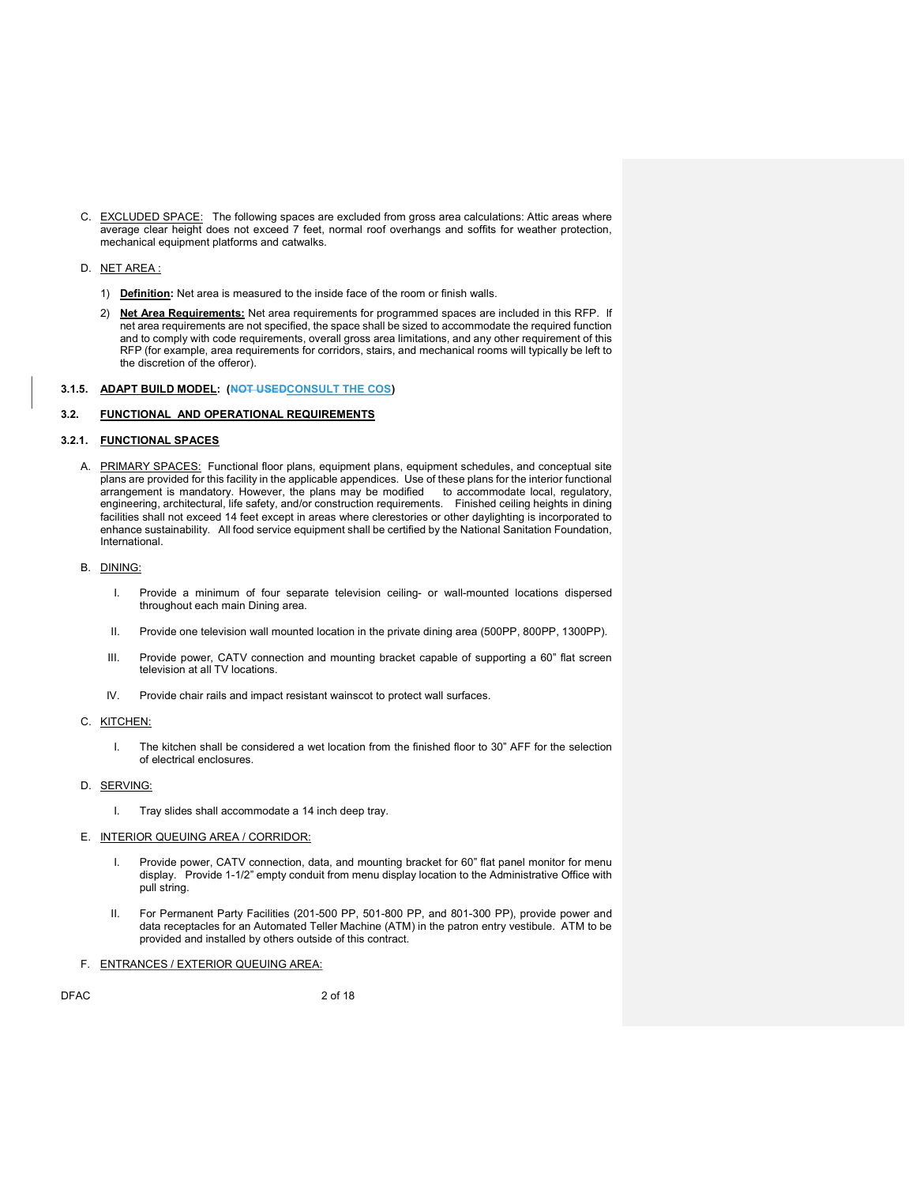C. EXCLUDED SPACE: The following spaces are excluded from gross area calculations: Attic areas where average clear height does not exceed 7 feet, normal roof overhangs and soffits for weather protection, mechanical equipment platforms and catwalks.

#### D. NET AREA :

- 1) Definition: Net area is measured to the inside face of the room or finish walls.
- 2) Net Area Requirements: Net area requirements for programmed spaces are included in this RFP. If net area requirements are not specified, the space shall be sized to accommodate the required function and to comply with code requirements, overall gross area limitations, and any other requirement of this RFP (for example, area requirements for corridors, stairs, and mechanical rooms will typically be left to the discretion of the offeror).

# 3.1.5. ADAPT BUILD MODEL: (NOT USEDCONSULT THE COS)

### 3.2. FUNCTIONAL AND OPERATIONAL REQUIREMENTS

### 3.2.1. FUNCTIONAL SPACES

- A. PRIMARY SPACES: Functional floor plans, equipment plans, equipment schedules, and conceptual site plans are provided for this facility in the applicable appendices. Use of these plans for the interior functional arrangement is mandatory. However, the plans may be modified to accommodate local, regulatory, engineering, architectural, life safety, and/or construction requirements. Finished ceiling heights in dining facilities shall not exceed 14 feet except in areas where clerestories or other daylighting is incorporated to enhance sustainability. All food service equipment shall be certified by the National Sanitation Foundation, International.
- B. DINING:
	- I. Provide a minimum of four separate television ceiling- or wall-mounted locations dispersed throughout each main Dining area.
	- II. Provide one television wall mounted location in the private dining area (500PP, 800PP, 1300PP).
	- III. Provide power, CATV connection and mounting bracket capable of supporting a 60" flat screen television at all TV locations.
	- IV. Provide chair rails and impact resistant wainscot to protect wall surfaces.
- C. KITCHEN:
	- I. The kitchen shall be considered a wet location from the finished floor to 30" AFF for the selection of electrical enclosures.
- D. SERVING:
	- I. Tray slides shall accommodate a 14 inch deep tray.
- E. INTERIOR QUEUING AREA / CORRIDOR:
	- I. Provide power, CATV connection, data, and mounting bracket for 60" flat panel monitor for menu display. Provide 1-1/2" empty conduit from menu display location to the Administrative Office with pull string.
	- II. For Permanent Party Facilities (201-500 PP, 501-800 PP, and 801-300 PP), provide power and data receptacles for an Automated Teller Machine (ATM) in the patron entry vestibule. ATM to be provided and installed by others outside of this contract.
- F. ENTRANCES / EXTERIOR QUEUING AREA:

DFAC 2 of 18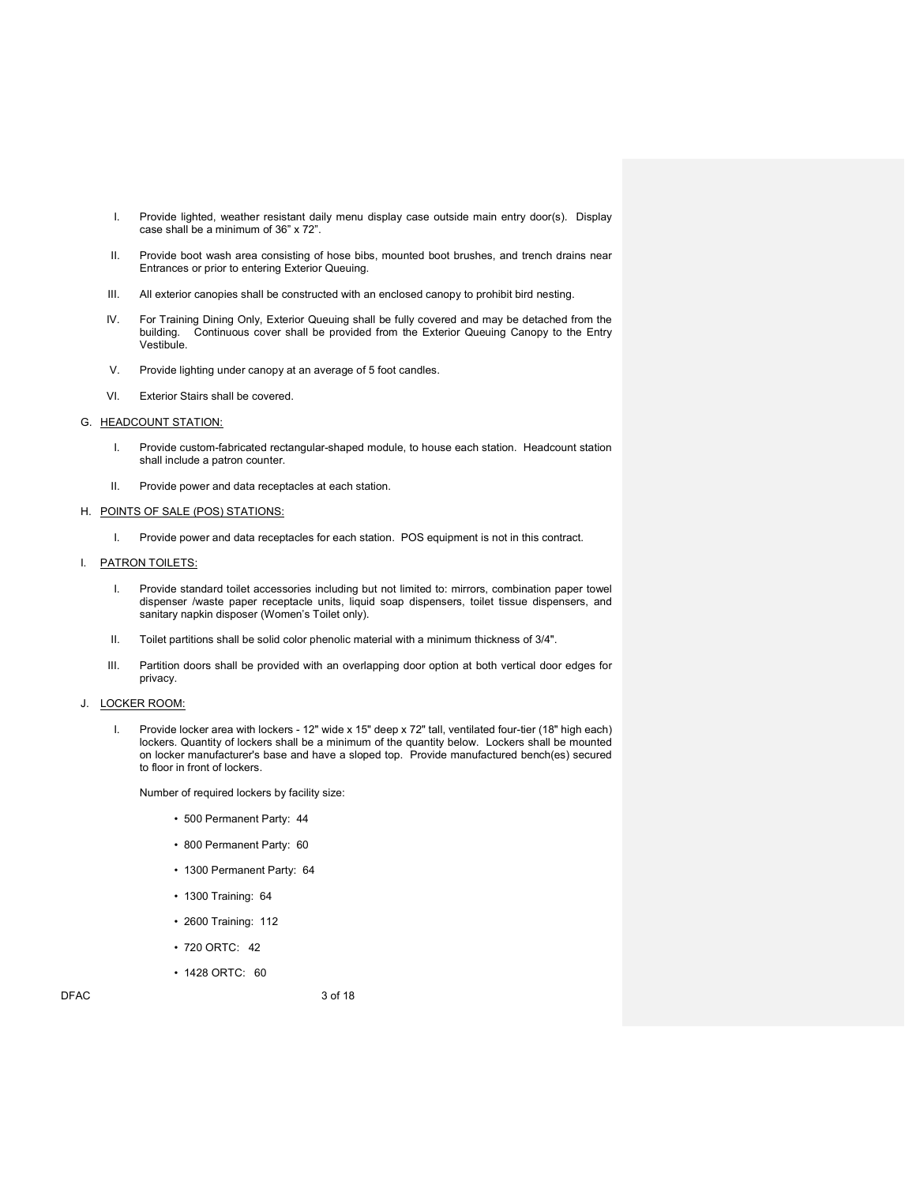- I. Provide lighted, weather resistant daily menu display case outside main entry door(s). Display case shall be a minimum of 36" x 72".
- II. Provide boot wash area consisting of hose bibs, mounted boot brushes, and trench drains near Entrances or prior to entering Exterior Queuing.
- III. All exterior canopies shall be constructed with an enclosed canopy to prohibit bird nesting.
- IV. For Training Dining Only, Exterior Queuing shall be fully covered and may be detached from the building. Continuous cover shall be provided from the Exterior Queuing Canopy to the Entry Continuous cover shall be provided from the Exterior Queuing Canopy to the Entry Vestibule.
- V. Provide lighting under canopy at an average of 5 foot candles.
- VI. Exterior Stairs shall be covered.

#### G. HEADCOUNT STATION:

- I. Provide custom-fabricated rectangular-shaped module, to house each station. Headcount station shall include a patron counter.
- II. Provide power and data receptacles at each station.

#### H. POINTS OF SALE (POS) STATIONS:

I. Provide power and data receptacles for each station. POS equipment is not in this contract.

# I. PATRON TOILETS:

- I. Provide standard toilet accessories including but not limited to: mirrors, combination paper towel dispenser /waste paper receptacle units, liquid soap dispensers, toilet tissue dispensers, and sanitary napkin disposer (Women's Toilet only).
- II. Toilet partitions shall be solid color phenolic material with a minimum thickness of 3/4".
- III. Partition doors shall be provided with an overlapping door option at both vertical door edges for privacy.

#### J. LOCKER ROOM:

I. Provide locker area with lockers - 12" wide x 15" deep x 72" tall, ventilated four-tier (18" high each) lockers. Quantity of lockers shall be a minimum of the quantity below. Lockers shall be mounted on locker manufacturer's base and have a sloped top. Provide manufactured bench(es) secured to floor in front of lockers.

Number of required lockers by facility size:

- 500 Permanent Party: 44
- 800 Permanent Party: 60
- 1300 Permanent Party: 64
- 1300 Training: 64
- 2600 Training: 112
- 720 ORTC: 42
- 1428 ORTC: 60

DFAC 3 of 18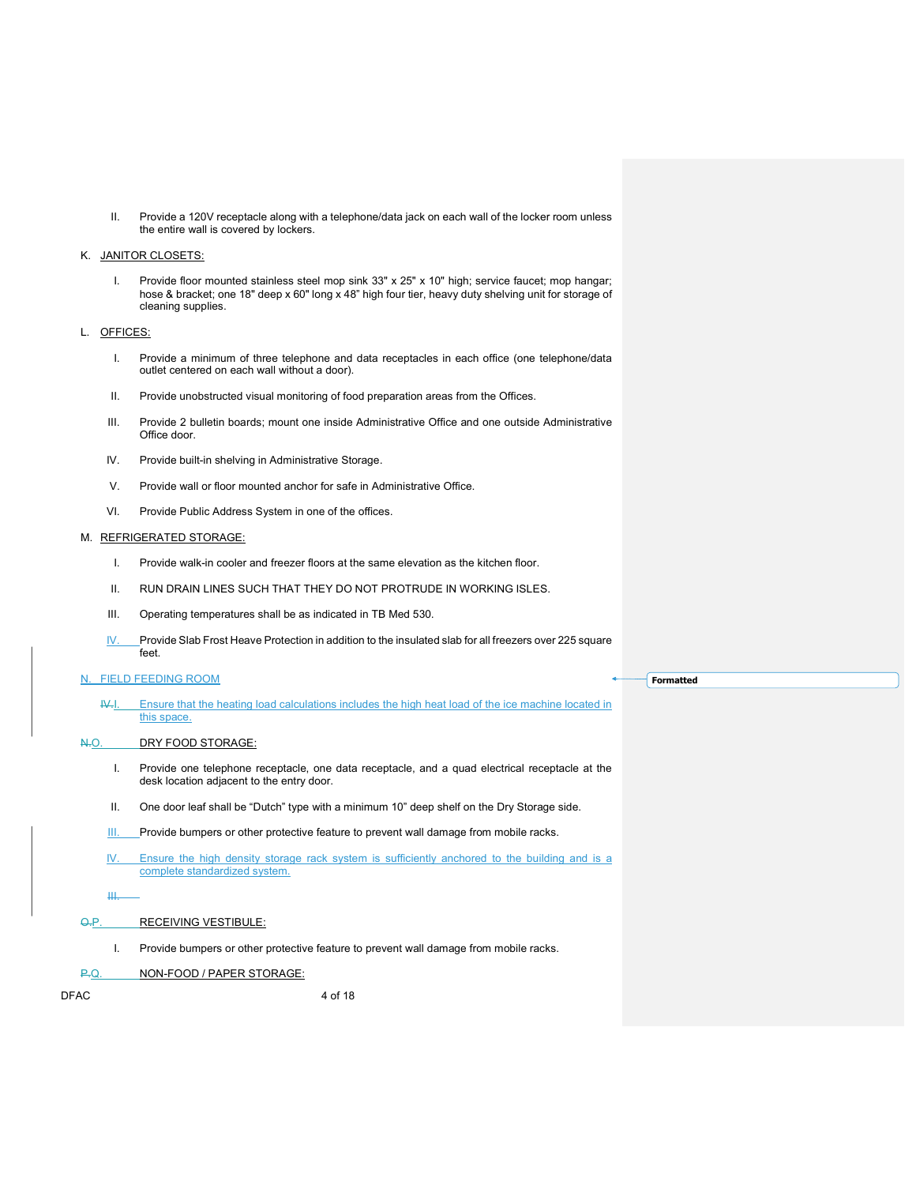II. Provide a 120V receptacle along with a telephone/data jack on each wall of the locker room unless the entire wall is covered by lockers.

#### K. JANITOR CLOSETS:

I. Provide floor mounted stainless steel mop sink 33" x 25" x 10" high; service faucet; mop hangar; hose & bracket; one 18" deep x 60" long x 48" high four tier, heavy duty shelving unit for storage of cleaning supplies.

### L. OFFICES:

- I. Provide a minimum of three telephone and data receptacles in each office (one telephone/data outlet centered on each wall without a door).
- II. Provide unobstructed visual monitoring of food preparation areas from the Offices.
- III. Provide 2 bulletin boards; mount one inside Administrative Office and one outside Administrative Office door.
- IV. Provide built-in shelving in Administrative Storage.
- V. Provide wall or floor mounted anchor for safe in Administrative Office.
- VI. Provide Public Address System in one of the offices.

#### M. REFRIGERATED STORAGE:

- I. Provide walk-in cooler and freezer floors at the same elevation as the kitchen floor.
- II. RUN DRAIN LINES SUCH THAT THEY DO NOT PROTRUDE IN WORKING ISLES.
- III. Operating temperatures shall be as indicated in TB Med 530.
- IV. Provide Slab Frost Heave Protection in addition to the insulated slab for all freezers over 225 square feet.

# N. FIELD FEEDING ROOM

IV.I. Ensure that the heating load calculations includes the high heat load of the ice machine located in this space.

#### N.O. DRY FOOD STORAGE:

- I. Provide one telephone receptacle, one data receptacle, and a quad electrical receptacle at the desk location adjacent to the entry door.
- II. One door leaf shall be "Dutch" type with a minimum 10" deep shelf on the Dry Storage side.
- **III.** Provide bumpers or other protective feature to prevent wall damage from mobile racks.
- IV. Ensure the high density storage rack system is sufficiently anchored to the building and is a complete standardized system.

III.

# O.P. RECEIVING VESTIBULE:

I. Provide bumpers or other protective feature to prevent wall damage from mobile racks.

#### P.Q. NON-FOOD / PAPER STORAGE:

DFAC 4 of 18

**Formatted**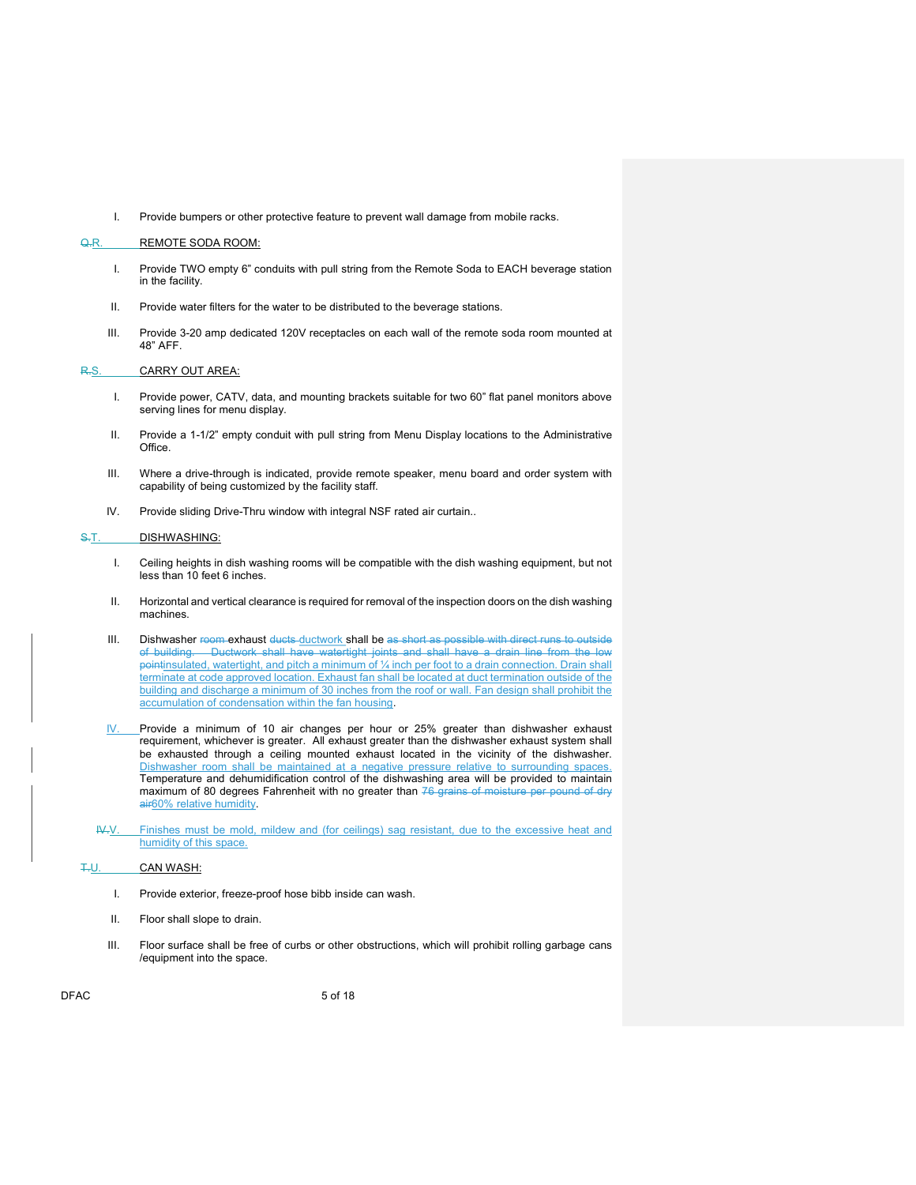I. Provide bumpers or other protective feature to prevent wall damage from mobile racks.

#### Q.R. REMOTE SODA ROOM:

- I. Provide TWO empty 6" conduits with pull string from the Remote Soda to EACH beverage station in the facility.
- II. Provide water filters for the water to be distributed to the beverage stations.
- III. Provide 3-20 amp dedicated 120V receptacles on each wall of the remote soda room mounted at 48" AFF.

#### R.S. CARRY OUT AREA:

- I. Provide power, CATV, data, and mounting brackets suitable for two 60" flat panel monitors above serving lines for menu display.
- II. Provide a 1-1/2" empty conduit with pull string from Menu Display locations to the Administrative Office.
- III. Where a drive-through is indicated, provide remote speaker, menu board and order system with capability of being customized by the facility staff.
- IV. Provide sliding Drive-Thru window with integral NSF rated air curtain..

#### S.T. DISHWASHING:

- I. Ceiling heights in dish washing rooms will be compatible with the dish washing equipment, but not less than 10 feet 6 inches.
- II. Horizontal and vertical clearance is required for removal of the inspection doors on the dish washing machines.
- III. Dishwasher room exhaust ducts ductwork shall be as short as possible with direct runs to outside of building. Ductwork shall have watertight joints and shall have pointinsulated, watertight, and pitch a minimum of 1/4 inch per foot to a drain connection. Drain shall terminate at code approved location. Exhaust fan shall be located at duct termination outside of the building and discharge a minimum of 30 inches from the roof or wall. Fan design shall prohibit the accumulation of condensation within the fan housing.
- $V.$  Provide a minimum of 10 air changes per hour or 25% greater than dishwasher exhaust requirement, whichever is greater. All exhaust greater than the dishwasher exhaust system shall be exhausted through a ceiling mounted exhaust located in the vicinity of the dishwasher. Dishwasher room shall be maintained at a negative pressure relative to surrounding spaces. Temperature and dehumidification control of the dishwashing area will be provided to maintain maximum of 80 degrees Fahrenheit with no greater than 76 grains of moisture per pound of dry air60% relative humidity.
- IV.V. Finishes must be mold, mildew and (for ceilings) sag resistant, due to the excessive heat and humidity of this space.

#### T.U. CAN WASH:

- I. Provide exterior, freeze-proof hose bibb inside can wash.
- II. Floor shall slope to drain.
- III. Floor surface shall be free of curbs or other obstructions, which will prohibit rolling garbage cans /equipment into the space.

DFAC 5 of 18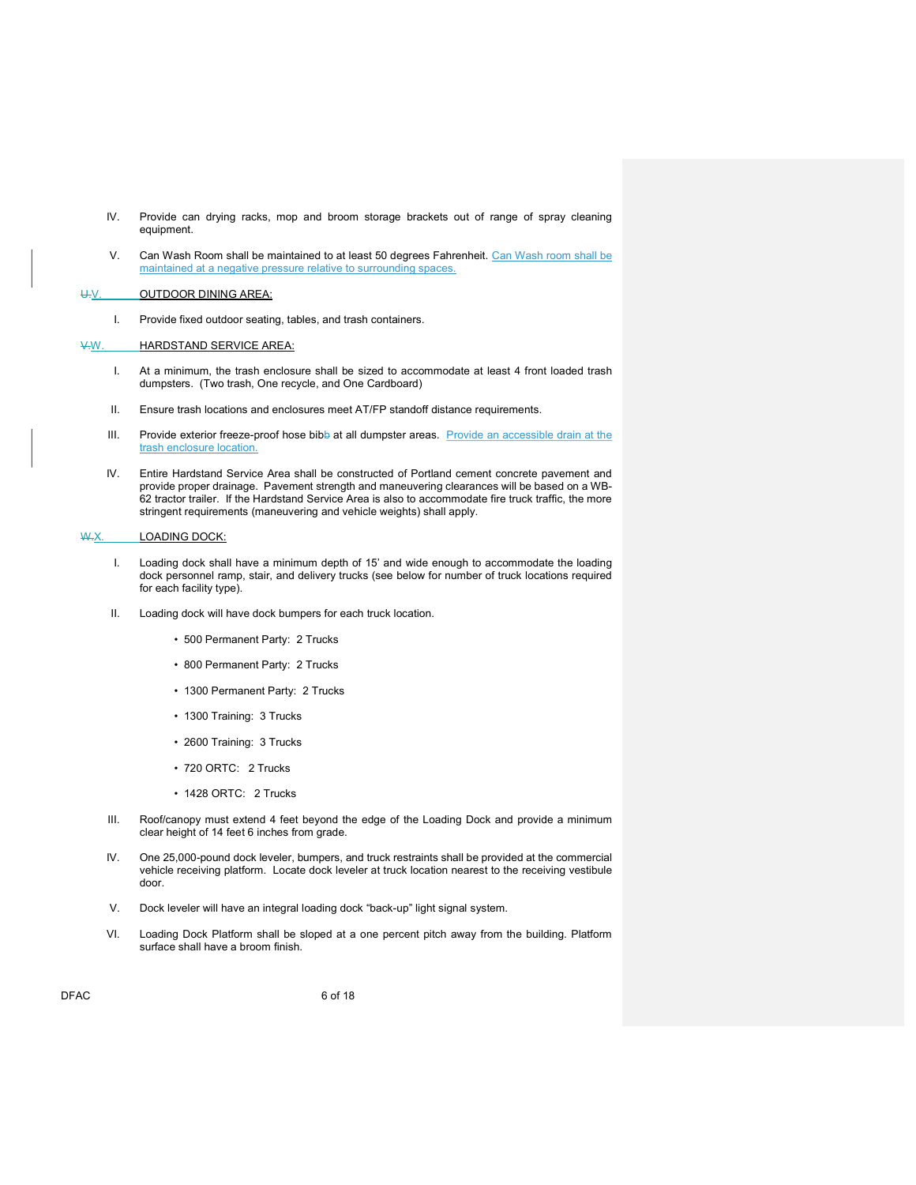- IV. Provide can drying racks, mop and broom storage brackets out of range of spray cleaning equipment.
- V. Can Wash Room shall be maintained to at least 50 degrees Fahrenheit. Can Wash room shall be maintained at a negative pressure relative to surrounding spaces.

# U.V. OUTDOOR DINING AREA:

I. Provide fixed outdoor seating, tables, and trash containers.

# V.W. HARDSTAND SERVICE AREA:

- I. At a minimum, the trash enclosure shall be sized to accommodate at least 4 front loaded trash dumpsters. (Two trash, One recycle, and One Cardboard)
- II. Ensure trash locations and enclosures meet AT/FP standoff distance requirements.
- III. Provide exterior freeze-proof hose bibb at all dumpster areas. Provide an accessible drain at the trash enclosure location.
- IV. Entire Hardstand Service Area shall be constructed of Portland cement concrete pavement and provide proper drainage. Pavement strength and maneuvering clearances will be based on a WB-62 tractor trailer. If the Hardstand Service Area is also to accommodate fire truck traffic, the more stringent requirements (maneuvering and vehicle weights) shall apply.

#### W.X. LOADING DOCK:

- I. Loading dock shall have a minimum depth of 15' and wide enough to accommodate the loading dock personnel ramp, stair, and delivery trucks (see below for number of truck locations required for each facility type).
- II. Loading dock will have dock bumpers for each truck location.
	- 500 Permanent Party: 2 Trucks
	- 800 Permanent Party: 2 Trucks
	- 1300 Permanent Party: 2 Trucks
	- 1300 Training: 3 Trucks
	- 2600 Training: 3 Trucks
	- 720 ORTC: 2 Trucks
	- 1428 ORTC: 2 Trucks
- III. Roof/canopy must extend 4 feet beyond the edge of the Loading Dock and provide a minimum clear height of 14 feet 6 inches from grade.
- IV. One 25,000-pound dock leveler, bumpers, and truck restraints shall be provided at the commercial vehicle receiving platform. Locate dock leveler at truck location nearest to the receiving vestibule door.
- V. Dock leveler will have an integral loading dock "back-up" light signal system.
- VI. Loading Dock Platform shall be sloped at a one percent pitch away from the building. Platform surface shall have a broom finish.

DFAC 6 of 18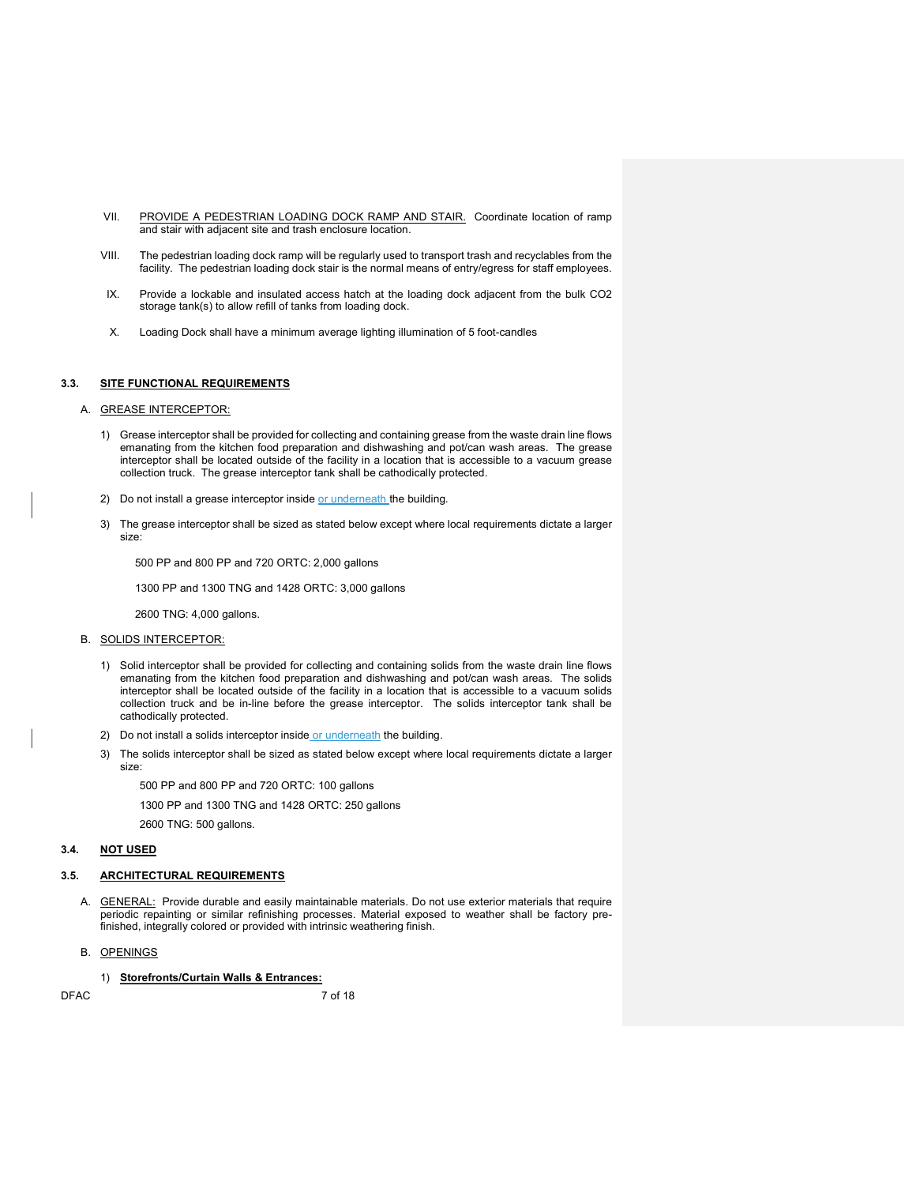- VII. PROVIDE A PEDESTRIAN LOADING DOCK RAMP AND STAIR. Coordinate location of ramp and stair with adjacent site and trash enclosure location.
- VIII. The pedestrian loading dock ramp will be regularly used to transport trash and recyclables from the facility. The pedestrian loading dock stair is the normal means of entry/egress for staff employees.
- IX. Provide a lockable and insulated access hatch at the loading dock adjacent from the bulk CO2 storage tank(s) to allow refill of tanks from loading dock.
- X. Loading Dock shall have a minimum average lighting illumination of 5 foot-candles

### 3.3. SITE FUNCTIONAL REQUIREMENTS

#### A. GREASE INTERCEPTOR:

- 1) Grease interceptor shall be provided for collecting and containing grease from the waste drain line flows emanating from the kitchen food preparation and dishwashing and pot/can wash areas. The grease interceptor shall be located outside of the facility in a location that is accessible to a vacuum grease collection truck. The grease interceptor tank shall be cathodically protected.
- 2) Do not install a grease interceptor inside or underneath the building.
- 3) The grease interceptor shall be sized as stated below except where local requirements dictate a larger size:

500 PP and 800 PP and 720 ORTC: 2,000 gallons

1300 PP and 1300 TNG and 1428 ORTC: 3,000 gallons

2600 TNG: 4,000 gallons.

- B. SOLIDS INTERCEPTOR:
	- 1) Solid interceptor shall be provided for collecting and containing solids from the waste drain line flows emanating from the kitchen food preparation and dishwashing and pot/can wash areas. The solids interceptor shall be located outside of the facility in a location that is accessible to a vacuum solids collection truck and be in-line before the grease interceptor. The solids interceptor tank shall be cathodically protected.
	- 2) Do not install a solids interceptor inside or underneath the building.
	- 3) The solids interceptor shall be sized as stated below except where local requirements dictate a larger size:

500 PP and 800 PP and 720 ORTC: 100 gallons

1300 PP and 1300 TNG and 1428 ORTC: 250 gallons

2600 TNG: 500 gallons.

#### 3.4. NOT USED

#### 3.5. ARCHITECTURAL REQUIREMENTS

- A. **GENERAL:** Provide durable and easily maintainable materials. Do not use exterior materials that require periodic repainting or similar refinishing processes. Material exposed to weather shall be factory prefinished, integrally colored or provided with intrinsic weathering finish.
- B. OPENINGS

#### 1) Storefronts/Curtain Walls & Entrances:

DFAC 7 of 18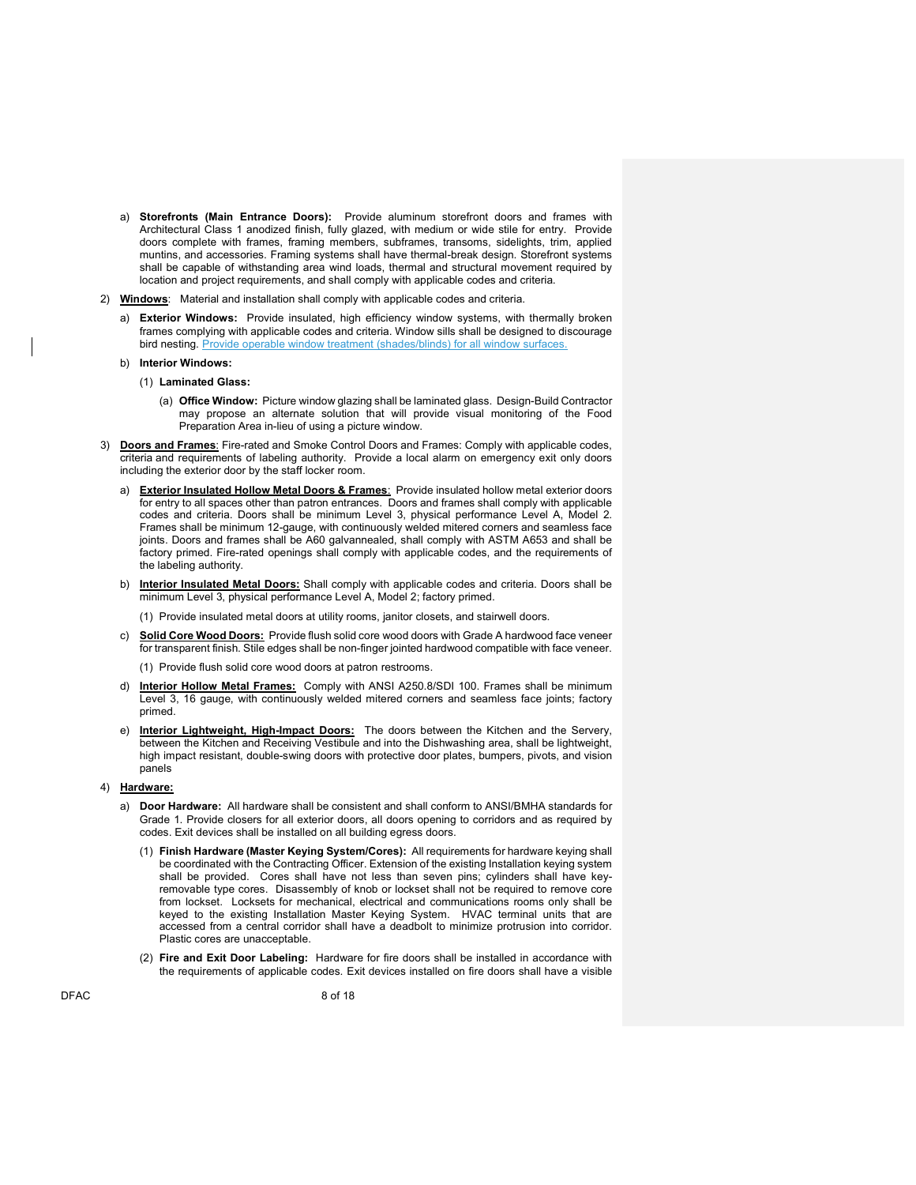- a) Storefronts (Main Entrance Doors): Provide aluminum storefront doors and frames with Architectural Class 1 anodized finish, fully glazed, with medium or wide stile for entry. Provide doors complete with frames, framing members, subframes, transoms, sidelights, trim, applied muntins, and accessories. Framing systems shall have thermal-break design. Storefront systems shall be capable of withstanding area wind loads, thermal and structural movement required by location and project requirements, and shall comply with applicable codes and criteria.
- 2) Windows: Material and installation shall comply with applicable codes and criteria.
	- a) Exterior Windows: Provide insulated, high efficiency window systems, with thermally broken frames complying with applicable codes and criteria. Window sills shall be designed to discourage bird nesting. Provide operable window treatment (shades/blinds) for all window surfaces.
	- Interior Windows:
		- (1) Laminated Glass:
			- (a) Office Window: Picture window glazing shall be laminated glass. Design-Build Contractor may propose an alternate solution that will provide visual monitoring of the Food Preparation Area in-lieu of using a picture window.
- 3) Doors and Frames: Fire-rated and Smoke Control Doors and Frames: Comply with applicable codes, criteria and requirements of labeling authority. Provide a local alarm on emergency exit only doors including the exterior door by the staff locker room.
	- a) Exterior Insulated Hollow Metal Doors & Frames: Provide insulated hollow metal exterior doors for entry to all spaces other than patron entrances. Doors and frames shall comply with applicable codes and criteria. Doors shall be minimum Level 3, physical performance Level A, Model 2. Frames shall be minimum 12-gauge, with continuously welded mitered corners and seamless face joints. Doors and frames shall be A60 galvannealed, shall comply with ASTM A653 and shall be factory primed. Fire-rated openings shall comply with applicable codes, and the requirements of the labeling authority.
	- b) Interior Insulated Metal Doors: Shall comply with applicable codes and criteria. Doors shall be minimum Level 3, physical performance Level A, Model 2; factory primed.
		- (1) Provide insulated metal doors at utility rooms, janitor closets, and stairwell doors.
	- c) Solid Core Wood Doors: Provide flush solid core wood doors with Grade A hardwood face veneer for transparent finish. Stile edges shall be non-finger jointed hardwood compatible with face veneer.
		- (1) Provide flush solid core wood doors at patron restrooms.
	- d) Interior Hollow Metal Frames: Comply with ANSI A250.8/SDI 100. Frames shall be minimum Level 3, 16 gauge, with continuously welded mitered corners and seamless face joints; factory primed.
	- e) Interior Lightweight, High-Impact Doors: The doors between the Kitchen and the Servery, between the Kitchen and Receiving Vestibule and into the Dishwashing area, shall be lightweight, high impact resistant, double-swing doors with protective door plates, bumpers, pivots, and vision panels
- 4) Hardware:
	- a) Door Hardware: All hardware shall be consistent and shall conform to ANSI/BMHA standards for Grade 1. Provide closers for all exterior doors, all doors opening to corridors and as required by codes. Exit devices shall be installed on all building egress doors.
		- (1) Finish Hardware (Master Keying System/Cores): All requirements for hardware keying shall be coordinated with the Contracting Officer. Extension of the existing Installation keying system shall be provided. Cores shall have not less than seven pins; cylinders shall have keyremovable type cores. Disassembly of knob or lockset shall not be required to remove core from lockset. Locksets for mechanical, electrical and communications rooms only shall be keyed to the existing Installation Master Keying System. HVAC terminal units that are accessed from a central corridor shall have a deadbolt to minimize protrusion into corridor. Plastic cores are unacceptable.
		- (2) Fire and Exit Door Labeling: Hardware for fire doors shall be installed in accordance with the requirements of applicable codes. Exit devices installed on fire doors shall have a visible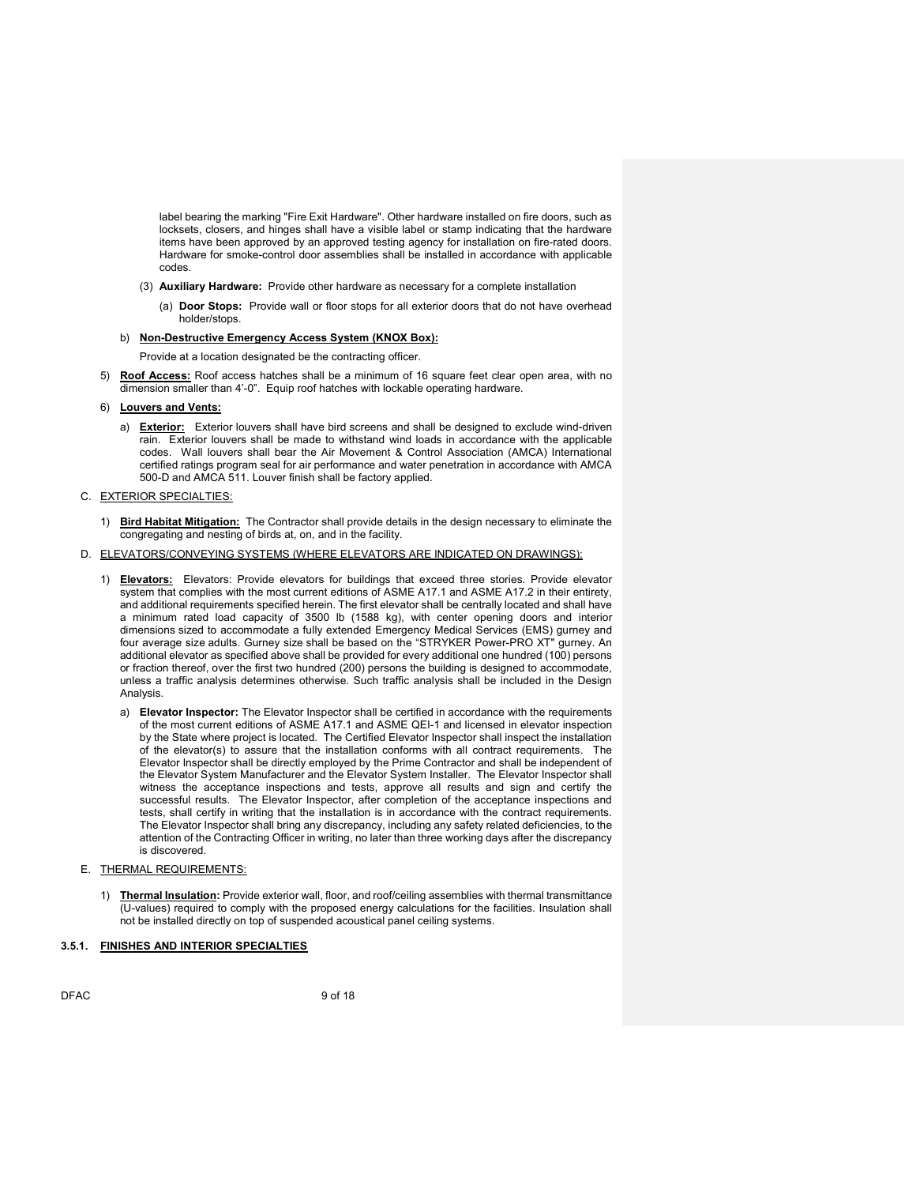label bearing the marking "Fire Exit Hardware". Other hardware installed on fire doors, such as locksets, closers, and hinges shall have a visible label or stamp indicating that the hardware items have been approved by an approved testing agency for installation on fire-rated doors. Hardware for smoke-control door assemblies shall be installed in accordance with applicable codes.

- (3) Auxiliary Hardware: Provide other hardware as necessary for a complete installation
	- (a) Door Stops: Provide wall or floor stops for all exterior doors that do not have overhead holder/stops.

# b) Non-Destructive Emergency Access System (KNOX Box):

Provide at a location designated be the contracting officer.

- 5) Roof Access: Roof access hatches shall be a minimum of 16 square feet clear open area, with no dimension smaller than 4'-0". Equip roof hatches with lockable operating hardware.
- 6) Louvers and Vents:
	- a) Exterior: Exterior louvers shall have bird screens and shall be designed to exclude wind-driven rain. Exterior louvers shall be made to withstand wind loads in accordance with the applicable codes. Wall louvers shall bear the Air Movement & Control Association (AMCA) International certified ratings program seal for air performance and water penetration in accordance with AMCA 500-D and AMCA 511. Louver finish shall be factory applied.

#### C. EXTERIOR SPECIALTIES:

- 1) Bird Habitat Mitigation: The Contractor shall provide details in the design necessary to eliminate the congregating and nesting of birds at, on, and in the facility.
- D. ELEVATORS/CONVEYING SYSTEMS (WHERE ELEVATORS ARE INDICATED ON DRAWINGS):
	- 1) **Elevators:** Elevators: Provide elevators for buildings that exceed three stories. Provide elevator system that complies with the most current editions of ASME A17.1 and ASME A17.2 in their entirety, and additional requirements specified herein. The first elevator shall be centrally located and shall have a minimum rated load capacity of 3500 lb (1588 kg), with center opening doors and interior dimensions sized to accommodate a fully extended Emergency Medical Services (EMS) gurney and four average size adults. Gurney size shall be based on the "STRYKER Power-PRO XT" gurney. An additional elevator as specified above shall be provided for every additional one hundred (100) persons or fraction thereof, over the first two hundred (200) persons the building is designed to accommodate, unless a traffic analysis determines otherwise. Such traffic analysis shall be included in the Design Analysis.
		- a) Elevator Inspector: The Elevator Inspector shall be certified in accordance with the requirements of the most current editions of ASME A17.1 and ASME QEI-1 and licensed in elevator inspection by the State where project is located. The Certified Elevator Inspector shall inspect the installation of the elevator(s) to assure that the installation conforms with all contract requirements. The Elevator Inspector shall be directly employed by the Prime Contractor and shall be independent of the Elevator System Manufacturer and the Elevator System Installer. The Elevator Inspector shall witness the acceptance inspections and tests, approve all results and sign and certify the successful results. The Elevator Inspector, after completion of the acceptance inspections and tests, shall certify in writing that the installation is in accordance with the contract requirements. The Elevator Inspector shall bring any discrepancy, including any safety related deficiencies, to the attention of the Contracting Officer in writing, no later than three working days after the discrepancy is discovered.
- E. THERMAL REQUIREMENTS:
	- 1) Thermal Insulation: Provide exterior wall, floor, and roof/ceiling assemblies with thermal transmittance (U-values) required to comply with the proposed energy calculations for the facilities. Insulation shall not be installed directly on top of suspended acoustical panel ceiling systems.

## 3.5.1. FINISHES AND INTERIOR SPECIALTIES

DFAC 9 of 18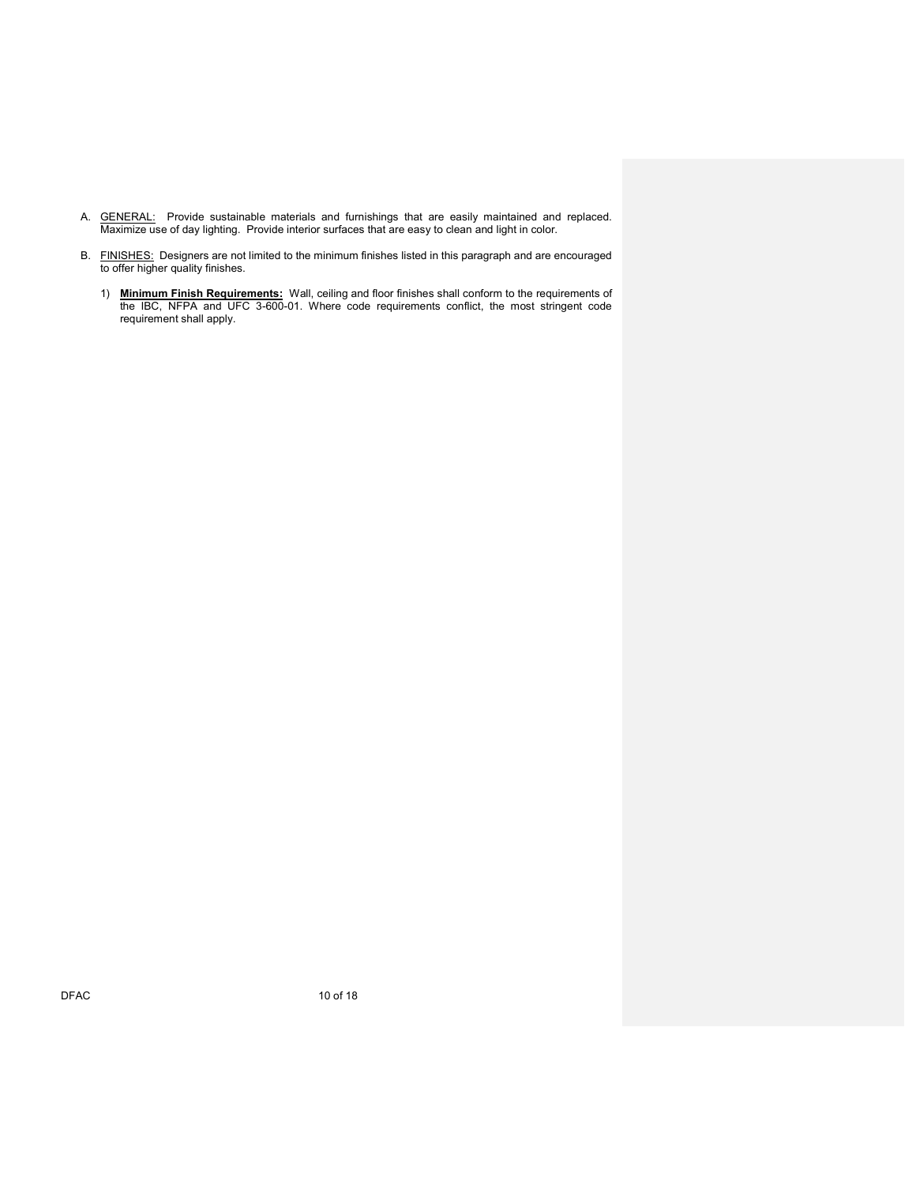- A. **GENERAL:** Provide sustainable materials and furnishings that are easily maintained and replaced. Maximize use of day lighting. Provide interior surfaces that are easy to clean and light in color.
- B. FINISHES: Designers are not limited to the minimum finishes listed in this paragraph and are encouraged to offer higher quality finishes.
	- 1) Minimum Finish Requirements: Wall, ceiling and floor finishes shall conform to the requirements of the IBC, NFPA and UFC 3-600-01. Where code requirements conflict, the most stringent code requirement shall apply.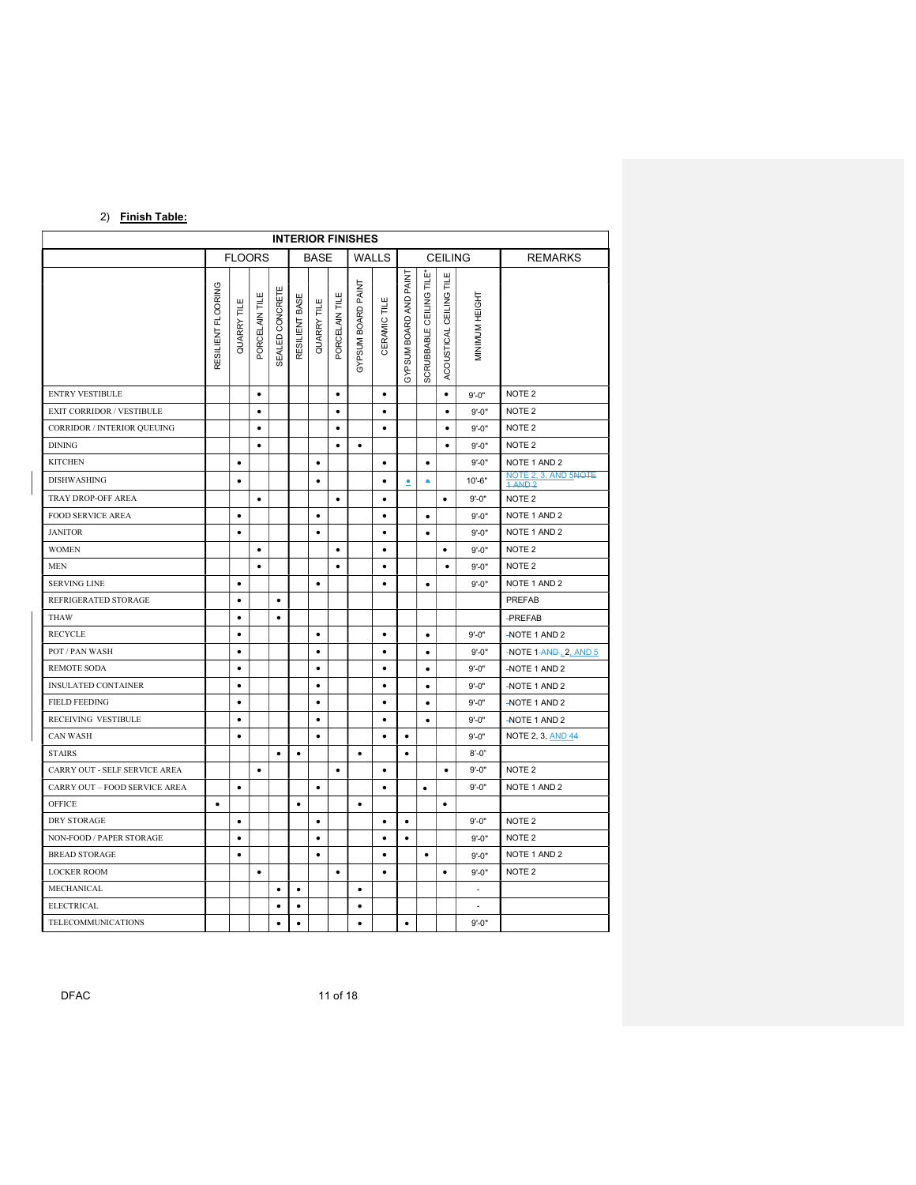# 2) Finish Table:

|                               | <b>INTERIOR FINISHES</b> |               |                |                     |                |             |                |                    |                  |                           |                          |                              |                          |                                 |
|-------------------------------|--------------------------|---------------|----------------|---------------------|----------------|-------------|----------------|--------------------|------------------|---------------------------|--------------------------|------------------------------|--------------------------|---------------------------------|
|                               |                          | <b>FLOORS</b> |                |                     |                | <b>BASE</b> |                |                    | <b>WALLS</b>     |                           |                          | <b>CEILING</b>               |                          | <b>REMARKS</b>                  |
|                               | RESILIENT FLOORING       | QUARRY TILE   | PORCELAIN TILE | ш<br>SEALED CONCRET | RESILIENT BASE | QUARRY TILE | PORCELAIN TILE | GYPSUM BOARD PAINT | щ<br>CERAMIC TIL | PAINT<br>GYPSUM BOARD AND | SCRUBBABLE CEILING TILE* | Ш<br>킅<br>ACOUSTICAL CEILING | MINIMUM HEIGHT           |                                 |
| <b>ENTRY VESTIBULE</b>        |                          |               | $\bullet$      |                     |                |             | $\bullet$      |                    | $\bullet$        |                           |                          | $\bullet$                    | $9' - 0''$               | NOTE <sub>2</sub>               |
| EXIT CORRIDOR / VESTIBULE     |                          |               | $\bullet$      |                     |                |             | ٠              |                    | $\bullet$        |                           |                          | ٠                            | $9' - 0''$               | NOTE <sub>2</sub>               |
| CORRIDOR / INTERIOR QUEUING   |                          |               | $\bullet$      |                     |                |             | $\bullet$      |                    | $\bullet$        |                           |                          | $\bullet$                    | $9' - 0''$               | NOTE <sub>2</sub>               |
| <b>DINING</b>                 |                          |               | $\bullet$      |                     |                |             | $\bullet$      | $\bullet$          |                  |                           |                          | $\bullet$                    | $9' - 0''$               | NOTE 2                          |
| <b>KITCHEN</b>                |                          | $\bullet$     |                |                     |                | $\bullet$   |                |                    | $\bullet$        |                           | $\bullet$                |                              | $9' - 0''$               | NOTE 1 AND 2                    |
| <b>DISHWASHING</b>            |                          | $\bullet$     |                |                     |                | $\bullet$   |                |                    | $\bullet$        | ≗                         | ۰                        |                              | $10' - 6"$               | NOTE 2, 3, AND 5NOTE<br>1 AND 2 |
| TRAY DROP-OFF AREA            |                          |               | $\bullet$      |                     |                |             | $\bullet$      |                    | $\bullet$        |                           |                          | $\bullet$                    | $9' - 0''$               | NOTE <sub>2</sub>               |
| <b>FOOD SERVICE AREA</b>      |                          | $\bullet$     |                |                     |                | $\bullet$   |                |                    | $\bullet$        |                           | $\bullet$                |                              | $9' - 0''$               | NOTE 1 AND 2                    |
| <b>JANITOR</b>                |                          | $\bullet$     |                |                     |                | $\bullet$   |                |                    | $\bullet$        |                           | $\bullet$                |                              | $9' - 0''$               | NOTE 1 AND 2                    |
| <b>WOMEN</b>                  |                          |               | $\bullet$      |                     |                |             | $\bullet$      |                    | $\bullet$        |                           |                          | $\bullet$                    | $9' - 0''$               | NOTE <sub>2</sub>               |
| <b>MEN</b>                    |                          |               | $\bullet$      |                     |                |             | $\bullet$      |                    | $\bullet$        |                           |                          | $\bullet$                    | $9' - 0''$               | NOTE <sub>2</sub>               |
| <b>SERVING LINE</b>           |                          | $\bullet$     |                |                     |                | $\bullet$   |                |                    | $\bullet$        |                           | $\bullet$                |                              | $9' - 0''$               | NOTE 1 AND 2                    |
| REFRIGERATED STORAGE          |                          | $\bullet$     |                | $\bullet$           |                |             |                |                    |                  |                           |                          |                              |                          | PREFAB                          |
| THAW                          |                          | $\bullet$     |                | $\bullet$           |                |             |                |                    |                  |                           |                          |                              |                          | <b>-PREFAB</b>                  |
| <b>RECYCLE</b>                |                          | $\bullet$     |                |                     |                | $\bullet$   |                |                    | $\bullet$        |                           | $\bullet$                |                              | $9' - 0''$               | -NOTE 1 AND 2                   |
| POT / PAN WASH                |                          | $\bullet$     |                |                     |                | $\bullet$   |                |                    | $\bullet$        |                           | $\bullet$                |                              | $9' - 0''$               | -NOTE 1-AND-12, AND 5           |
| REMOTE SODA                   |                          | $\bullet$     |                |                     |                | $\bullet$   |                |                    | $\bullet$        |                           | $\bullet$                |                              | $9' - 0''$               | -NOTE 1 AND 2                   |
| <b>INSULATED CONTAINER</b>    |                          | $\bullet$     |                |                     |                | $\bullet$   |                |                    | $\bullet$        |                           | $\bullet$                |                              | $9' - 0''$               | -NOTE 1 AND 2                   |
| <b>FIELD FEEDING</b>          |                          | $\bullet$     |                |                     |                | $\bullet$   |                |                    | $\bullet$        |                           | $\bullet$                |                              | $9' - 0''$               | -NOTE 1 AND 2                   |
| RECEIVING VESTIBULE           |                          | ٠             |                |                     |                | $\bullet$   |                |                    | $\bullet$        |                           | $\bullet$                |                              | $9' - 0''$               | -NOTE 1 AND 2                   |
| <b>CAN WASH</b>               |                          | ٠             |                |                     |                | $\bullet$   |                |                    | $\bullet$        | ٠                         |                          |                              | $9' - 0''$               | <b>NOTE 2, 3, AND 44</b>        |
| <b>STAIRS</b>                 |                          |               |                | $\bullet$           | $\bullet$      |             |                | $\bullet$          |                  | $\bullet$                 |                          |                              | $8' - 0''$               |                                 |
| CARRY OUT - SELF SERVICE AREA |                          |               | $\bullet$      |                     |                |             | $\bullet$      |                    | $\bullet$        |                           |                          | $\bullet$                    | $9' - 0''$               | NOTE <sub>2</sub>               |
| CARRY OUT - FOOD SERVICE AREA |                          | $\bullet$     |                |                     |                | ٠           |                |                    | $\bullet$        |                           | $\bullet$                |                              | $9' - 0''$               | NOTE 1 AND 2                    |
| OFFICE                        | $\bullet$                |               |                |                     | $\bullet$      |             |                | $\bullet$          |                  |                           |                          | $\bullet$                    |                          |                                 |
| DRY STORAGE                   |                          | $\bullet$     |                |                     |                | $\bullet$   |                |                    | $\bullet$        | $\bullet$                 |                          |                              | $9' - 0''$               | NOTE <sub>2</sub>               |
| NON-FOOD / PAPER STORAGE      |                          | $\bullet$     |                |                     |                | $\bullet$   |                |                    | $\bullet$        | $\bullet$                 |                          |                              | $9' - 0''$               | NOTE <sub>2</sub>               |
| <b>BREAD STORAGE</b>          |                          | $\bullet$     |                |                     |                | $\bullet$   |                |                    | $\bullet$        |                           | $\bullet$                |                              | $9' - 0''$               | NOTE 1 AND 2                    |
| <b>LOCKER ROOM</b>            |                          |               | $\bullet$      |                     |                |             | $\bullet$      |                    | $\bullet$        |                           |                          | $\bullet$                    | $9' - 0''$               | NOTE <sub>2</sub>               |
| MECHANICAL                    |                          |               |                | $\bullet$           | $\bullet$      |             |                | $\bullet$          |                  |                           |                          |                              | $\overline{\phantom{a}}$ |                                 |
| <b>ELECTRICAL</b>             |                          |               |                | $\bullet$           | $\bullet$      |             |                | $\bullet$          |                  |                           |                          |                              | ×.                       |                                 |
| TELECOMMUNICATIONS            |                          |               |                | $\bullet$           | $\bullet$      |             |                | $\bullet$          |                  | $\bullet$                 |                          |                              | $9' - 0''$               |                                 |

DFAC 11 of 18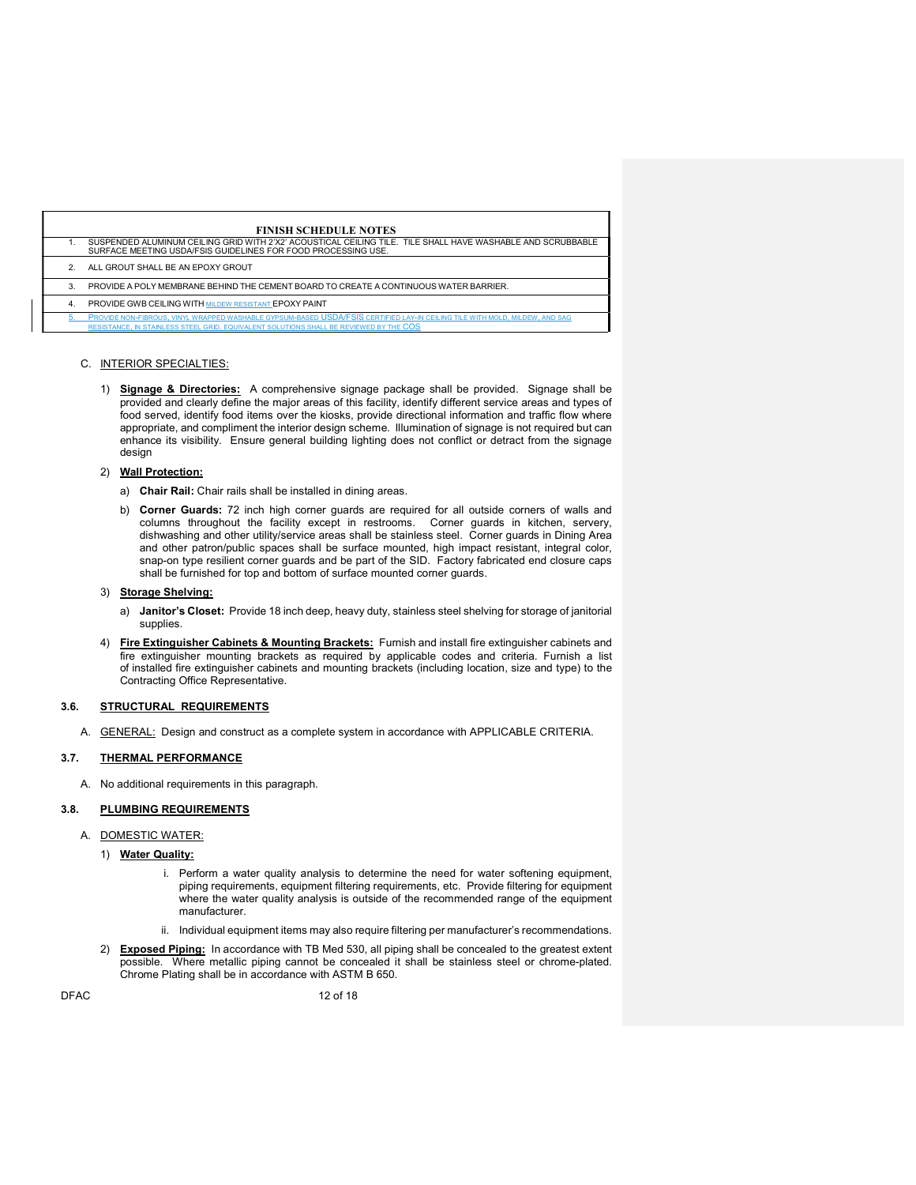|    | <b>FINISH SCHEDULE NOTES</b>                                                                                                                                                                                          |
|----|-----------------------------------------------------------------------------------------------------------------------------------------------------------------------------------------------------------------------|
|    | SUSPENDED ALUMINUM CEILING GRID WITH 2'X2' ACOUSTICAL CEILING TILE. TILE SHALL HAVE WASHABLE AND SCRUBBABLE<br>SURFACE MEETING USDA/FSIS GUIDELINES FOR FOOD PROCESSING USE.                                          |
|    | ALL GROUT SHALL BE AN EPOXY GROUT                                                                                                                                                                                     |
| 3. | PROVIDE A POLY MEMBRANE BEHIND THE CEMENT BOARD TO CREATE A CONTINUOUS WATER BARRIER.                                                                                                                                 |
| 4  | <b>PROVIDE GWB CEILING WITH MILDEW RESISTANT EPOXY PAINT</b>                                                                                                                                                          |
|    | PROVIDE NON-FIBROUS. VINYL WRAPPED WASHABLE GYPSUM-BASED USDA/FSIS CERTIFIED LAY-IN CEILING TILE WITH MOLD, MILDEW, AND SAG<br>RESISTANCE. IN STAINLESS STEEL GRID. EQUIVALENT SOLUTIONS SHALL BE REVIEWED BY THE COS |

#### C. INTERIOR SPECIALTIES:

1) **Signage & Directories:** A comprehensive signage package shall be provided. Signage shall be provided and clearly define the major areas of this facility, identify different service areas and types of food served, identify food items over the kiosks, provide directional information and traffic flow where appropriate, and compliment the interior design scheme. Illumination of signage is not required but can enhance its visibility. Ensure general building lighting does not conflict or detract from the signage design

#### 2) Wall Protection:

- a) Chair Rail: Chair rails shall be installed in dining areas.
- b) Corner Guards: 72 inch high corner guards are required for all outside corners of walls and columns throughout the facility except in restrooms. Corner guards in kitchen, servery, dishwashing and other utility/service areas shall be stainless steel. Corner guards in Dining Area and other patron/public spaces shall be surface mounted, high impact resistant, integral color, snap-on type resilient corner guards and be part of the SID. Factory fabricated end closure caps shall be furnished for top and bottom of surface mounted corner guards.

#### 3) Storage Shelving:

- a) Janitor's Closet: Provide 18 inch deep, heavy duty, stainless steel shelving for storage of janitorial supplies.
- 4) Fire Extinguisher Cabinets & Mounting Brackets: Furnish and install fire extinguisher cabinets and fire extinguisher mounting brackets as required by applicable codes and criteria. Furnish a list of installed fire extinguisher cabinets and mounting brackets (including location, size and type) to the Contracting Office Representative.

### 3.6. STRUCTURAL REQUIREMENTS

A. **GENERAL:** Design and construct as a complete system in accordance with APPLICABLE CRITERIA.

### 3.7. THERMAL PERFORMANCE

A. No additional requirements in this paragraph.

# 3.8. PLUMBING REQUIREMENTS

#### A. DOMESTIC WATER:

- 1) Water Quality:
	- i. Perform a water quality analysis to determine the need for water softening equipment, piping requirements, equipment filtering requirements, etc. Provide filtering for equipment where the water quality analysis is outside of the recommended range of the equipment manufacturer.
	- ii. Individual equipment items may also require filtering per manufacturer's recommendations.
- 2) Exposed Piping: In accordance with TB Med 530, all piping shall be concealed to the greatest extent possible. Where metallic piping cannot be concealed it shall be stainless steel or chrome-plated. Chrome Plating shall be in accordance with ASTM B 650.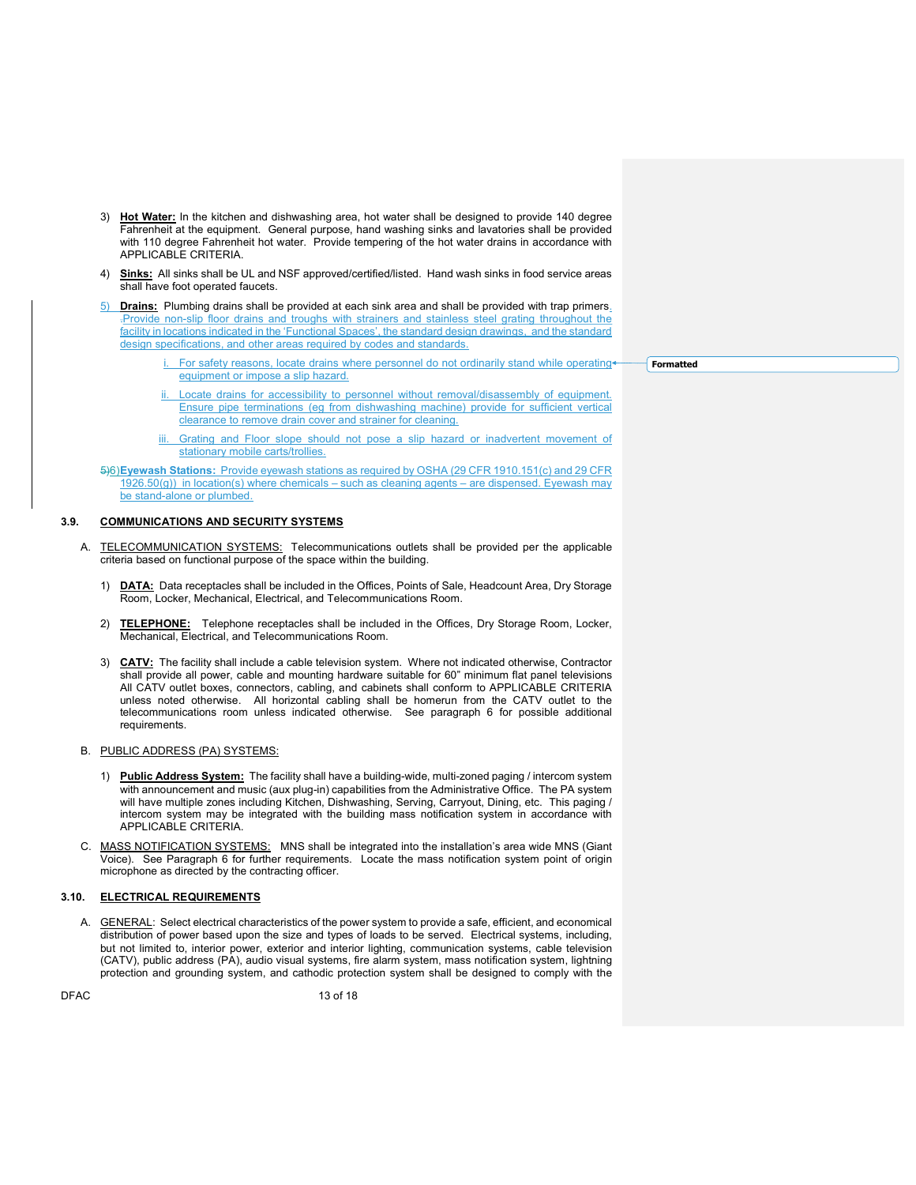- 3) Hot Water: In the kitchen and dishwashing area, hot water shall be designed to provide 140 degree Fahrenheit at the equipment. General purpose, hand washing sinks and lavatories shall be provided with 110 degree Fahrenheit hot water. Provide tempering of the hot water drains in accordance with APPLICABLE CRITERIA.
- 4) Sinks: All sinks shall be UL and NSF approved/certified/listed. Hand wash sinks in food service areas shall have foot operated faucets.
- 5) Drains: Plumbing drains shall be provided at each sink area and shall be provided with trap primers. .Provide non-slip floor drains and troughs with strainers and stainless steel grating throughout the facility in locations indicated in the 'Functional Spaces', the standard design drawings, and the standard design specifications, and other areas required by codes and standards.
	- For safety reasons, locate drains where personnel do not ordinarily stand while operatingequipment or impose a slip hazard.
	- Locate drains for accessibility to personnel without removal/disassembly of equipment. Ensure pipe terminations (eg from dishwashing machine) provide for sufficient vertical clearance to remove drain cover and strainer for cleaning.
	- Grating and Floor slope should not pose a slip hazard or inadvertent movement of stationary mobile carts/trollies.

5)6) Eyewash Stations: Provide eyewash stations as required by OSHA (29 CFR 1910.151(c) and 29 CFR 1926.50(g)) in location(s) where chemicals – such as cleaning agents – are dispensed. Eyewash may be stand-alone or plumbed.

#### 3.9. COMMUNICATIONS AND SECURITY SYSTEMS

- A. TELECOMMUNICATION SYSTEMS: Telecommunications outlets shall be provided per the applicable criteria based on functional purpose of the space within the building.
	- 1) DATA: Data receptacles shall be included in the Offices, Points of Sale, Headcount Area, Dry Storage Room, Locker, Mechanical, Electrical, and Telecommunications Room.
	- 2) TELEPHONE: Telephone receptacles shall be included in the Offices, Dry Storage Room, Locker, Mechanical, Electrical, and Telecommunications Room.
	- 3) **CATV:** The facility shall include a cable television system. Where not indicated otherwise, Contractor shall provide all power, cable and mounting hardware suitable for 60" minimum flat panel televisions All CATV outlet boxes, connectors, cabling, and cabinets shall conform to APPLICABLE CRITERIA unless noted otherwise. All horizontal cabling shall be homerun from the CATV outlet to the telecommunications room unless indicated otherwise. See paragraph 6 for possible additional requirements.

#### B. PUBLIC ADDRESS (PA) SYSTEMS:

- 1) Public Address System: The facility shall have a building-wide, multi-zoned paging / intercom system with announcement and music (aux plug-in) capabilities from the Administrative Office. The PA system will have multiple zones including Kitchen, Dishwashing, Serving, Carryout, Dining, etc. This paging / intercom system may be integrated with the building mass notification system in accordance with APPLICABLE CRITERIA.
- C. MASS NOTIFICATION SYSTEMS: MNS shall be integrated into the installation's area wide MNS (Giant Voice). See Paragraph 6 for further requirements. Locate the mass notification system point of origin microphone as directed by the contracting officer.

# 3.10. ELECTRICAL REQUIREMENTS

A. GENERAL: Select electrical characteristics of the power system to provide a safe, efficient, and economical distribution of power based upon the size and types of loads to be served. Electrical systems, including, but not limited to, interior power, exterior and interior lighting, communication systems, cable television (CATV), public address (PA), audio visual systems, fire alarm system, mass notification system, lightning protection and grounding system, and cathodic protection system shall be designed to comply with the

Formatted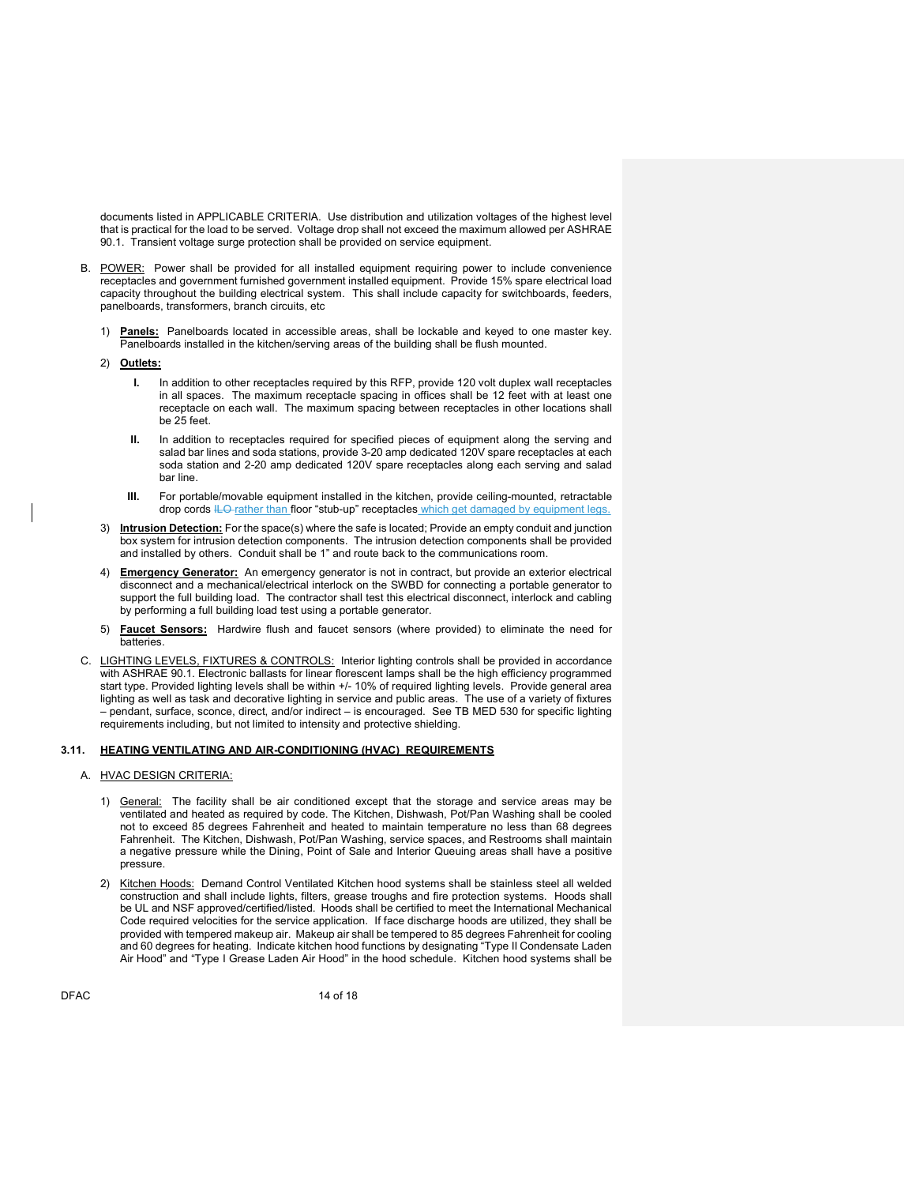documents listed in APPLICABLE CRITERIA. Use distribution and utilization voltages of the highest level that is practical for the load to be served. Voltage drop shall not exceed the maximum allowed per ASHRAE 90.1. Transient voltage surge protection shall be provided on service equipment.

- B. POWER: Power shall be provided for all installed equipment requiring power to include convenience receptacles and government furnished government installed equipment. Provide 15% spare electrical load capacity throughout the building electrical system. This shall include capacity for switchboards, feeders, panelboards, transformers, branch circuits, etc
	- 1) Panels: Panelboards located in accessible areas, shall be lockable and keyed to one master key. Panelboards installed in the kitchen/serving areas of the building shall be flush mounted.
	- 2) Outlets:
		- I. In addition to other receptacles required by this RFP, provide 120 volt duplex wall receptacles in all spaces. The maximum receptacle spacing in offices shall be 12 feet with at least one receptacle on each wall. The maximum spacing between receptacles in other locations shall be 25 feet.
		- II. In addition to receptacles required for specified pieces of equipment along the serving and salad bar lines and soda stations, provide 3-20 amp dedicated 120V spare receptacles at each soda station and 2-20 amp dedicated 120V spare receptacles along each serving and salad bar line.
		- III. For portable/movable equipment installed in the kitchen, provide ceiling-mounted, retractable drop cords ILO-rather than floor "stub-up" receptacles which get damaged by equipment legs.
	- 3) Intrusion Detection: For the space(s) where the safe is located; Provide an empty conduit and junction box system for intrusion detection components. The intrusion detection components shall be provided and installed by others. Conduit shall be 1" and route back to the communications room.
	- 4) Emergency Generator: An emergency generator is not in contract, but provide an exterior electrical disconnect and a mechanical/electrical interlock on the SWBD for connecting a portable generator to support the full building load. The contractor shall test this electrical disconnect, interlock and cabling by performing a full building load test using a portable generator.
	- 5) Faucet Sensors: Hardwire flush and faucet sensors (where provided) to eliminate the need for batteries.
- C. LIGHTING LEVELS, FIXTURES & CONTROLS: Interior lighting controls shall be provided in accordance with ASHRAE 90.1. Electronic ballasts for linear florescent lamps shall be the high efficiency programmed start type. Provided lighting levels shall be within +/- 10% of required lighting levels. Provide general area lighting as well as task and decorative lighting in service and public areas. The use of a variety of fixtures – pendant, surface, sconce, direct, and/or indirect – is encouraged. See TB MED 530 for specific lighting requirements including, but not limited to intensity and protective shielding.

### 3.11. HEATING VENTILATING AND AIR-CONDITIONING (HVAC) REQUIREMENTS

- A. HVAC DESIGN CRITERIA:
	- 1) General: The facility shall be air conditioned except that the storage and service areas may be ventilated and heated as required by code. The Kitchen, Dishwash, Pot/Pan Washing shall be cooled not to exceed 85 degrees Fahrenheit and heated to maintain temperature no less than 68 degrees Fahrenheit. The Kitchen, Dishwash, Pot/Pan Washing, service spaces, and Restrooms shall maintain a negative pressure while the Dining, Point of Sale and Interior Queuing areas shall have a positive pressure.
	- 2) Kitchen Hoods: Demand Control Ventilated Kitchen hood systems shall be stainless steel all welded construction and shall include lights, filters, grease troughs and fire protection systems. Hoods shall be UL and NSF approved/certified/listed. Hoods shall be certified to meet the International Mechanical Code required velocities for the service application. If face discharge hoods are utilized, they shall be provided with tempered makeup air. Makeup air shall be tempered to 85 degrees Fahrenheit for cooling and 60 degrees for heating. Indicate kitchen hood functions by designating "Type II Condensate Laden Air Hood" and "Type I Grease Laden Air Hood" in the hood schedule. Kitchen hood systems shall be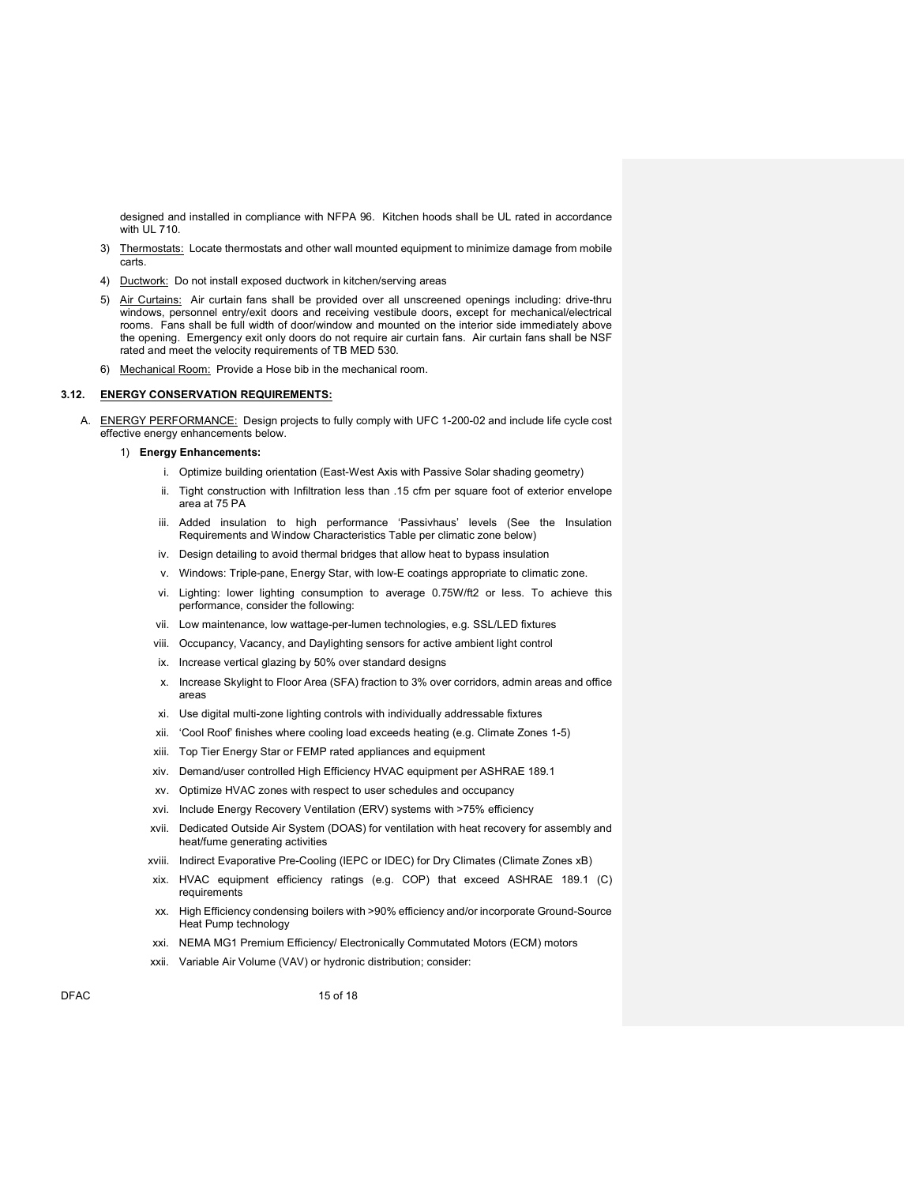designed and installed in compliance with NFPA 96. Kitchen hoods shall be UL rated in accordance with UL 710.

- 3) Thermostats: Locate thermostats and other wall mounted equipment to minimize damage from mobile carts.
- 4) Ductwork: Do not install exposed ductwork in kitchen/serving areas
- 5) Air Curtains: Air curtain fans shall be provided over all unscreened openings including: drive-thru windows, personnel entry/exit doors and receiving vestibule doors, except for mechanical/electrical rooms. Fans shall be full width of door/window and mounted on the interior side immediately above the opening. Emergency exit only doors do not require air curtain fans. Air curtain fans shall be NSF rated and meet the velocity requirements of TB MED 530.
- 6) Mechanical Room: Provide a Hose bib in the mechanical room.

### 3.12. ENERGY CONSERVATION REQUIREMENTS:

- A. ENERGY PERFORMANCE: Design projects to fully comply with UFC 1-200-02 and include life cycle cost effective energy enhancements below.
	- 1) Energy Enhancements:
		- i. Optimize building orientation (East-West Axis with Passive Solar shading geometry)
		- ii. Tight construction with Infiltration less than .15 cfm per square foot of exterior envelope area at 75 PA
		- iii. Added insulation to high performance 'Passivhaus' levels (See the Insulation Requirements and Window Characteristics Table per climatic zone below)
		- iv. Design detailing to avoid thermal bridges that allow heat to bypass insulation
		- v. Windows: Triple-pane, Energy Star, with low-E coatings appropriate to climatic zone.
		- vi. Lighting: lower lighting consumption to average 0.75W/ft2 or less. To achieve this performance, consider the following:
		- vii. Low maintenance, low wattage-per-lumen technologies, e.g. SSL/LED fixtures
		- viii. Occupancy, Vacancy, and Daylighting sensors for active ambient light control
		- ix. Increase vertical glazing by 50% over standard designs
		- x. Increase Skylight to Floor Area (SFA) fraction to 3% over corridors, admin areas and office areas
		- xi. Use digital multi-zone lighting controls with individually addressable fixtures
		- xii. 'Cool Roof' finishes where cooling load exceeds heating (e.g. Climate Zones 1-5)
		- xiii. Top Tier Energy Star or FEMP rated appliances and equipment
		- xiv. Demand/user controlled High Efficiency HVAC equipment per ASHRAE 189.1
		- xv. Optimize HVAC zones with respect to user schedules and occupancy
		- xvi. Include Energy Recovery Ventilation (ERV) systems with >75% efficiency
		- xvii. Dedicated Outside Air System (DOAS) for ventilation with heat recovery for assembly and heat/fume generating activities
		- xviii. Indirect Evaporative Pre-Cooling (IEPC or IDEC) for Dry Climates (Climate Zones xB)
		- xix. HVAC equipment efficiency ratings (e.g. COP) that exceed ASHRAE 189.1 (C) requirements
		- xx. High Efficiency condensing boilers with >90% efficiency and/or incorporate Ground-Source Heat Pump technology
		- xxi. NEMA MG1 Premium Efficiency/ Electronically Commutated Motors (ECM) motors
		- xxii. Variable Air Volume (VAV) or hydronic distribution; consider: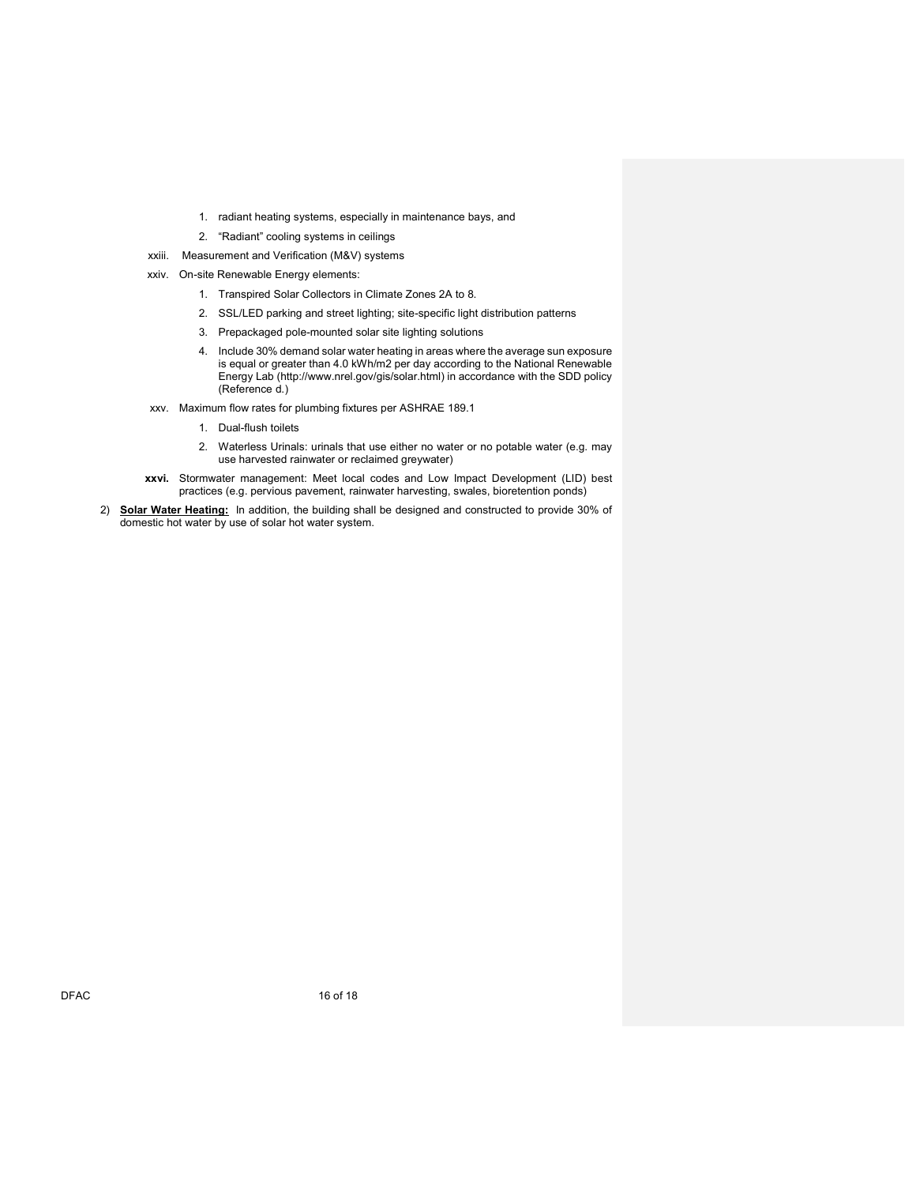- 1. radiant heating systems, especially in maintenance bays, and
- 2. "Radiant" cooling systems in ceilings
- xxiii. Measurement and Verification (M&V) systems
- xxiv. On-site Renewable Energy elements:
	- 1. Transpired Solar Collectors in Climate Zones 2A to 8.
	- 2. SSL/LED parking and street lighting; site-specific light distribution patterns
	- 3. Prepackaged pole-mounted solar site lighting solutions
	- 4. Include 30% demand solar water heating in areas where the average sun exposure is equal or greater than 4.0 kWh/m2 per day according to the National Renewable Energy Lab (http://www.nrel.gov/gis/solar.html) in accordance with the SDD policy (Reference d.)
- xxv. Maximum flow rates for plumbing fixtures per ASHRAE 189.1
	- 1. Dual-flush toilets
	- 2. Waterless Urinals: urinals that use either no water or no potable water (e.g. may use harvested rainwater or reclaimed greywater)
- xxvi. Stormwater management: Meet local codes and Low Impact Development (LID) best practices (e.g. pervious pavement, rainwater harvesting, swales, bioretention ponds)
- 2) Solar Water Heating: In addition, the building shall be designed and constructed to provide 30% of domestic hot water by use of solar hot water system.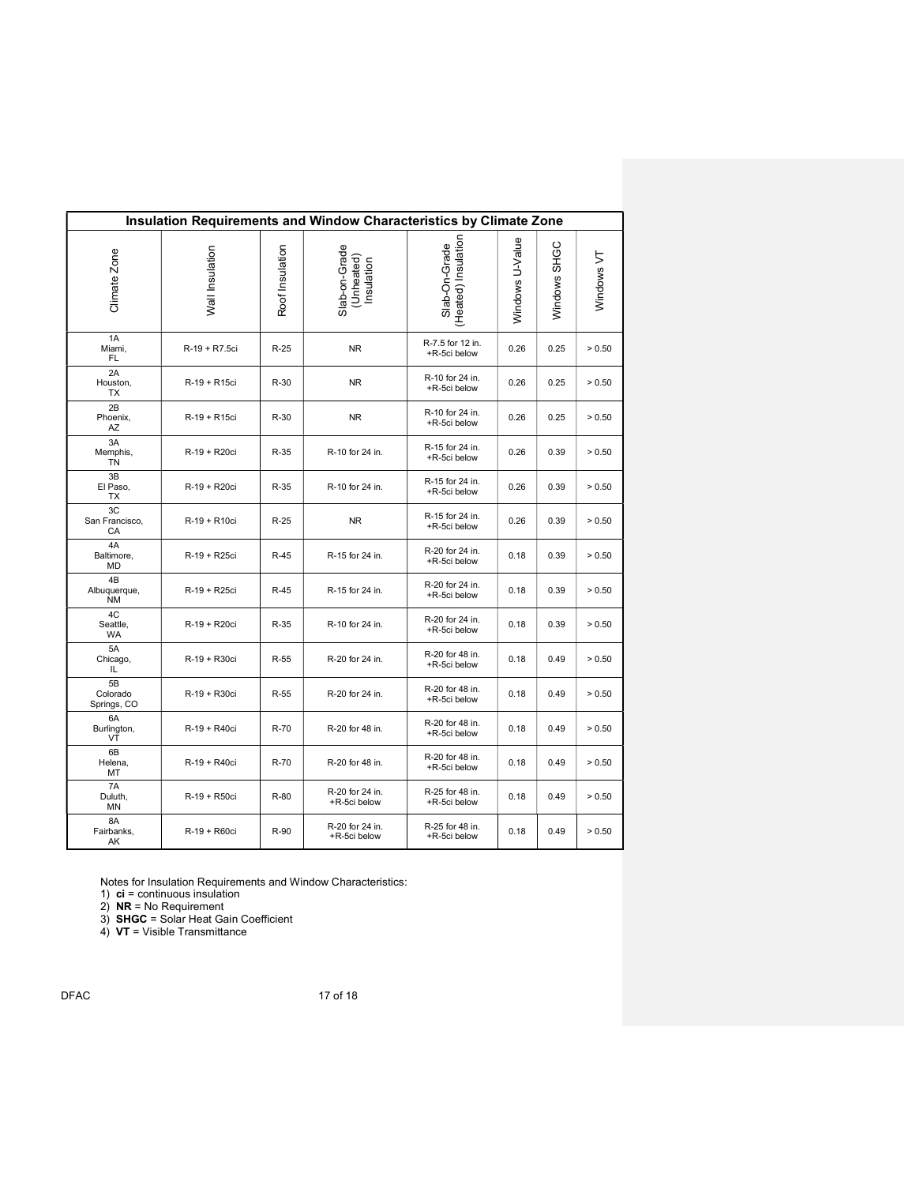| Insulation Requirements and Window Characteristics by Climate Zone |                 |                 |                                           |                                      |                 |              |            |  |  |
|--------------------------------------------------------------------|-----------------|-----------------|-------------------------------------------|--------------------------------------|-----------------|--------------|------------|--|--|
| Climate Zone                                                       | Wall Insulation | Roof Insulation | Slab-on-Grade<br>(Unheated)<br>Insulation | Slab-On-Grade<br>(Heated) Insulation | Windows U-Value | Windows SHGC | Windows VT |  |  |
| 1A<br>Miami,<br>FL.                                                | R-19 + R7.5ci   | $R-25$          | <b>NR</b>                                 | R-7.5 for 12 in.<br>+R-5ci below     | 0.26            | 0.25         | > 0.50     |  |  |
| 2A<br>Houston,<br><b>TX</b>                                        | R-19 + R15ci    | $R-30$          | <b>NR</b>                                 | R-10 for 24 in.<br>+R-5ci below      | 0.26            | 0.25         | > 0.50     |  |  |
| 2B<br>Phoenix,<br>AZ                                               | R-19 + R15ci    | $R-30$          | <b>NR</b>                                 | R-10 for 24 in.<br>+R-5ci below      | 0.26            | 0.25         | > 0.50     |  |  |
| 3A<br>Memphis,<br>TN                                               | R-19 + R20ci    | $R-35$          | R-10 for 24 in.                           | R-15 for 24 in.<br>+R-5ci below      | 0.26            | 0.39         | > 0.50     |  |  |
| 3B<br>El Paso,<br>TX                                               | R-19 + R20ci    | $R-35$          | R-10 for 24 in.                           | R-15 for 24 in.<br>+R-5ci below      | 0.26            | 0.39         | > 0.50     |  |  |
| 3C<br>San Francisco,<br>CA                                         | R-19 + R10ci    | $R-25$          | <b>NR</b>                                 | R-15 for 24 in.<br>+R-5ci below      | 0.26            | 0.39         | > 0.50     |  |  |
| 4A<br>Baltimore,<br><b>MD</b>                                      | R-19 + R25ci    | $R-45$          | R-15 for 24 in.                           | R-20 for 24 in.<br>+R-5ci below      | 0.18            | 0.39         | > 0.50     |  |  |
| 4B<br>Albuquerque,<br><b>NM</b>                                    | R-19 + R25ci    | $R-45$          | R-15 for 24 in.                           | R-20 for 24 in.<br>+R-5ci below      | 0.18            | 0.39         | > 0.50     |  |  |
| 4C<br>Seattle,<br><b>WA</b>                                        | R-19 + R20ci    | $R-35$          | R-10 for 24 in.                           | R-20 for 24 in.<br>+R-5ci below      | 0.18            | 0.39         | > 0.50     |  |  |
| 5A<br>Chicago,<br>IL                                               | R-19 + R30ci    | $R-55$          | R-20 for 24 in.                           | R-20 for 48 in.<br>+R-5ci below      | 0.18            | 0.49         | > 0.50     |  |  |
| 5B<br>Colorado<br>Springs, CO                                      | R-19 + R30ci    | $R-55$          | R-20 for 24 in.                           | R-20 for 48 in.<br>+R-5ci below      | 0.18            | 0.49         | > 0.50     |  |  |
| 6A<br>Burlington,<br>VŤ                                            | R-19 + R40ci    | R-70            | R-20 for 48 in.                           | R-20 for 48 in.<br>+R-5ci below      | 0.18            | 0.49         | > 0.50     |  |  |
| 6B<br>Helena,<br>MT                                                | R-19 + R40ci    | R-70            | R-20 for 48 in.                           | R-20 for 48 in.<br>+R-5ci below      | 0.18            | 0.49         | > 0.50     |  |  |
| 7A<br>Duluth,<br>MN                                                | R-19 + R50ci    | R-80            | R-20 for 24 in.<br>+R-5ci below           | R-25 for 48 in.<br>+R-5ci below      | 0.18            | 0.49         | > 0.50     |  |  |
| 8A<br>Fairbanks,<br>AK                                             | R-19 + R60ci    | R-90            | R-20 for 24 in.<br>+R-5ci below           | R-25 for 48 in.<br>+R-5ci below      | 0.18            | 0.49         | > 0.50     |  |  |

Notes for Insulation Requirements and Window Characteristics:

1)  $ci =$  continuous insulation

2) NR = No Requirement

3) SHGC = Solar Heat Gain Coefficient

4) VT = Visible Transmittance

DFAC 17 of 18